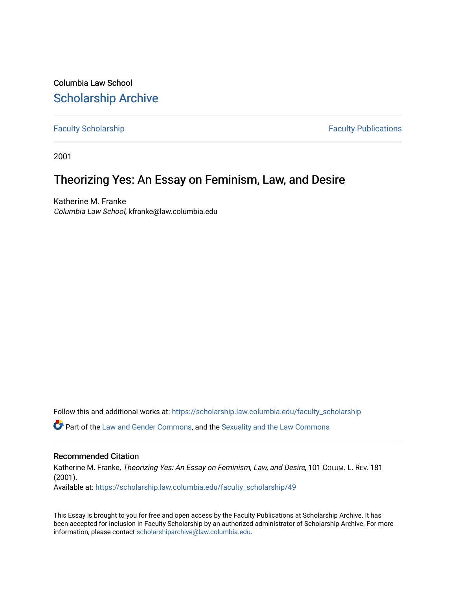Columbia Law School [Scholarship Archive](https://scholarship.law.columbia.edu/) 

[Faculty Scholarship](https://scholarship.law.columbia.edu/faculty_scholarship) **Faculty Scholarship** Faculty Publications

2001

# Theorizing Yes: An Essay on Feminism, Law, and Desire

Katherine M. Franke Columbia Law School, kfranke@law.columbia.edu

Follow this and additional works at: [https://scholarship.law.columbia.edu/faculty\\_scholarship](https://scholarship.law.columbia.edu/faculty_scholarship?utm_source=scholarship.law.columbia.edu%2Ffaculty_scholarship%2F49&utm_medium=PDF&utm_campaign=PDFCoverPages)

Part of the [Law and Gender Commons,](http://network.bepress.com/hgg/discipline/1298?utm_source=scholarship.law.columbia.edu%2Ffaculty_scholarship%2F49&utm_medium=PDF&utm_campaign=PDFCoverPages) and the [Sexuality and the Law Commons](http://network.bepress.com/hgg/discipline/877?utm_source=scholarship.law.columbia.edu%2Ffaculty_scholarship%2F49&utm_medium=PDF&utm_campaign=PDFCoverPages) 

## Recommended Citation

Katherine M. Franke, Theorizing Yes: An Essay on Feminism, Law, and Desire, 101 COLUM. L. REV. 181 (2001).

Available at: [https://scholarship.law.columbia.edu/faculty\\_scholarship/49](https://scholarship.law.columbia.edu/faculty_scholarship/49?utm_source=scholarship.law.columbia.edu%2Ffaculty_scholarship%2F49&utm_medium=PDF&utm_campaign=PDFCoverPages) 

This Essay is brought to you for free and open access by the Faculty Publications at Scholarship Archive. It has been accepted for inclusion in Faculty Scholarship by an authorized administrator of Scholarship Archive. For more information, please contact [scholarshiparchive@law.columbia.edu.](mailto:scholarshiparchive@law.columbia.edu)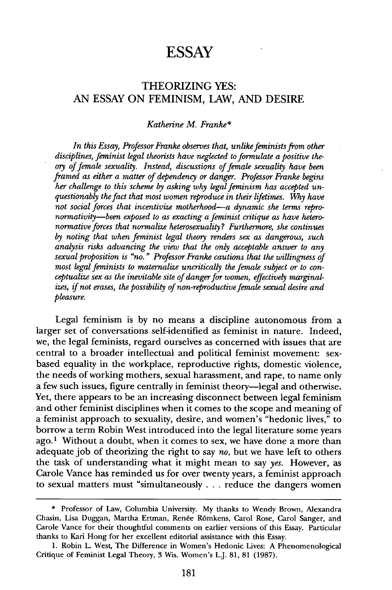# **ESSAY**

# THEORIZING YES: AN ESSAY ON FEMINISM, LAW, AND DESIRE

#### *Katherine M. Franke\**

*In this Essay, Professor Franke observes that, unlike feminists from other disciplines, feminist legal theorists have neglected to formulate a positive theory of female sexuality. Instead, discussions of female sexuality have been framed as either a matter of dependency or danger. Professor Franke begins her challenge to this scheme by asking why legal feminism has accepted unquestionably the fact that most women reproduce in their lifetimes. Why have not social forces that incentivize motherhood-a dynamic she terms repronormativity-been exposed to as exacting a feminist critique as have heteronormative forces that normalize heterosexuality? Furthermore, she continues by noting that when feminist legal theory renders sex as dangerous, such analysis risks advancing the view that the only acceptable answer to any sexual proposition is "no." Professor Franke cautions that the willingness of most legal feminists to maternalize uncritically the female subject or to conceptualize sex as the inevitable site of danger for women, effectively marginalizes,* if *not erases, the possibility of non-reproductive female sexual desire and pleasure.*

Legal feminism is by no means a discipline autonomous from a larger set of conversations self-identified as feminist in nature. Indeed, we, the legal feminists, regard ourselves as concerned with issues that are central to a broader intellectual and political feminist movement: sexbased equality in the workplace, reproductive rights, domestic violence, the needs of working mothers, sexual harassment, and rape, to name only a few such issues, figure centrally in feminist theory-legal and otherwise. Yet, there appears to be an increasing disconnect between legal feminism and other feminist disciplines when it comes to the scope and meaning of a feminist approach to sexuality, desire, and women's "hedonic lives," to borrow a term Robin West introduced into the legal literature some years ago.' Without a doubt, when it comes to sex, we have done a more than adequate job of theorizing the right to say *no,* but we have left to others the task of understanding what it might mean to say *yes.* However, as Carole Vance has reminded us for over twenty years, a feminist approach to sexual matters must "simultaneously ... reduce the dangers women

<sup>\*</sup> Professor of Law, Columbia University. My thanks to Wendy Brown, Alexandra Chasin, Lisa Duggan, Martha Ertman, Renée Römkens, Carol Rose, Carol Sanger, and Carole Vance for their thoughtful comments on earlier versions of this Essay. Particular thanks to Kari Hong for her excellent editorial assistance with this Essay.

<sup>1.</sup> Robin L. West, The Difference in Women's Hedonic Lives: A Phenomenological Critique of Feminist Legal Theory, 3 Wis. Women's L.J. 81, 81 (1987).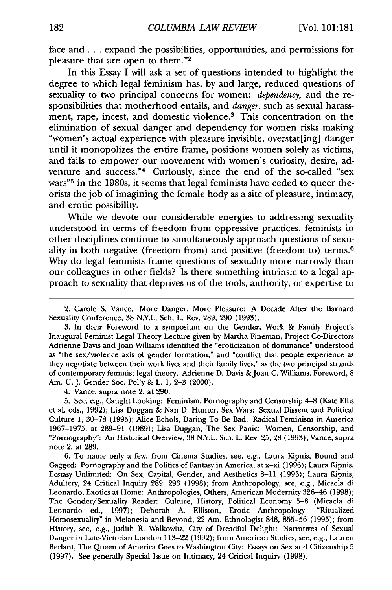face and **...** expand the possibilities, opportunities, and permissions for pleasure that are open to them."<sup>2</sup>

In this Essay I will ask a set of questions intended to highlight the degree to which legal feminism has, by and large, reduced questions of sexuality to two principal concerns for women: *dependency,* and the responsibilities that motherhood entails, and *danger,* such as sexual harassment, rape, incest, and domestic violence.<sup>3</sup> This concentration on the elimination of sexual danger and dependency for women risks making "women's actual experience with pleasure invisible, overstat[ing] danger until it monopolizes the entire frame, positions women solely as victims, and fails to empower our movement with women's curiosity, desire, adventure and success."4 Curiously, since the end of the so-called "sex wars"<sup>5</sup> in the 1980s, it seems that legal feminists have ceded to queer theorists the job of imagining the female body as a site of pleasure, intimacy, and erotic possibility.

While we devote our considerable energies to addressing sexuality understood in terms of freedom from oppressive practices, feminists in other disciplines continue to simultaneously approach questions of sexuality in both negative (freedom from) and positive (freedom to) terms.<sup>6</sup> Why do legal feminists frame questions of sexuality more narrowly than our colleagues in other fields? Is there something intrinsic to a legal approach to sexuality that deprives us of the tools, authority, or expertise to

4. Vance, supra note 2, at 290.

5. See, e.g., Caught Looking: Feminism, Pornography and Censorship 4-8 (Kate Ellis et al. eds., 1992); Lisa Duggan & Nan D. Hunter, Sex Wars: Sexual Dissent and Political Culture 1, 30-78 (1995); Alice Echols, Daring To Be Bad: Radical Feminism in America 1967-1975, at 289-91 (1989); Lisa Duggan, The Sex Panic: Women, Censorship, and "Pornography": An Historical Overview, 38 N.Y.L. Sch. L. Rev. 25, 28 (1993); Vance, supra note 2, at 289.

<sup>2.</sup> Carole S. Vance, More Danger, More Pleasure: A Decade After the Barnard Sexuality Conference, 38 N.Y.L. Sch. L. Rev. 289, 290 (1993).

<sup>3.</sup> In their Foreword to a symposium on the Gender, Work & Family Project's Inaugural Feminist Legal Theory Lecture given by Martha Fineman, Project Co-Directors Adrienne Davis and Joan Williams identified the "eroticization of dominance" understood as "the sex/violence axis of gender formation," and "conflict that people experience as they negotiate between their work lives and their family lives," as the two principal strands of contemporary feminist legal theory. Adrienne D. Davis & Joan C. Williams, Foreword, 8 Am. U.J. Gender Soc. Pol'y & L. 1, 2-3 (2000).

<sup>6.</sup> To name only a few, from Cinema Studies, see, e.g., Laura Kipnis, Bound and Gagged: Pornography and the Politics of Fantasy in America, at x-xi (1996); Laura Kipnis, Ecstasy Unlimited: On Sex, Capital, Gender, and Aesthetics 8-11 (1993); Laura Kipnis, Adultery, 24 Critical Inquiry 289, 293 (1998); from Anthropology, see, e.g., Micaela di Leonardo, Exotics at Home: Anthropologies, Others, American Modernity 326-46 (1998); The Gender/Sexuality Reader: Culture, History, Political Economy 5-8 (Micaela di Leonardo ed., 1997); Deborah A. Elliston, Erotic Anthropology: "Ritualized Homosexuality" in Melanesia and Beyond, 22 Am. Ethnologist 848, 855-56 (1995); from History, see, e.g., Judith R. Walkowitz, City of Dreadful Delight: Narratives of Sexual Danger in Late-Victorian London 113-22 (1992); from American Studies, see, e.g., Lauren Berlant, The Queen of America Goes to Washington City: Essays on Sex and Citizenship 5 (1997). See generally Special Issue on Intimacy, 24 Critical Inquiry (1998).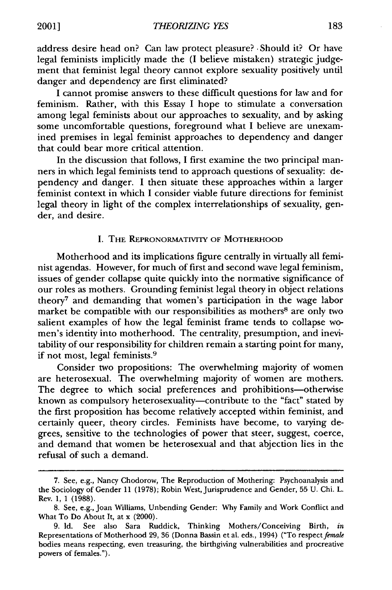address desire head on? Can law protect pleasure? Should it? Or have legal feminists implicitly made the (I believe mistaken) strategic judgement that feminist legal theory cannot explore sexuality positively until danger and dependency are first eliminated?

I cannot promise answers to these difficult questions for law and for feminism. Rather, with this Essay I hope to stimulate a conversation among legal feminists about our approaches to sexuality, and by asking some uncomfortable questions, foreground what I believe are unexamined premises in legal feminist approaches to dependency and danger that could bear more critical attention.

In the discussion that follows, I first examine the two principal manners in which legal feminists tend to approach questions of sexuality: dependency nd danger. I then situate these approaches within a larger feminist context in which I consider viable future directions for feminist legal theory in light of the complex interrelationships of sexuality, gender, and desire.

### **I. THE** REPRONORMATIVITY OF MOTHERHOOD

Motherhood and its implications figure centrally in virtually all feminist agendas. However, for much of first and second wave legal feminism, issues of gender collapse quite quickly into the normative significance of our roles as mothers. Grounding feminist legal theory in object relations theory7 and demanding that women's participation in the wage labor market be compatible with our responsibilities as mothers<sup>8</sup> are only two salient examples of how the legal feminist frame tends to collapse women's identity into motherhood. The centrality, presumption, and inevitability of our responsibility for children remain a starting point for many, if not most, legal feminists.9

Consider two propositions: The overwhelming majority of women are heterosexual. The overwhelming majority of women are mothers. The degree to which social preferences and prohibitions-otherwise known as compulsory heterosexuality-contribute to the "fact" stated by the first proposition has become relatively accepted within feminist, and certainly queer, theory circles. Feminists have become, to varying degrees, sensitive to the technologies of power that steer, suggest, coerce, and demand that women be heterosexual and that abjection lies in the refusal of such a demand.

**<sup>7.</sup>** See, e.g., Nancy Chodorow, The Reproduction of Mothering: Psychoanalysis and the Sociology of Gender **11 (1978);** Robin West, Jurisprudence and Gender, **55 U.** Chi. L. Rev. **1, 1 (1988).**

**<sup>8.</sup>** See, e.g., Joan Williams, Unbending Gender: **Why** Family and Work Conflict and What To Do About It, at x (2000).

**<sup>9.</sup> Id.** See also Sara Ruddick, Thinking Mothers/Conceiving Birth, *in* Representations of Motherhood **29, 36 (Donna Bassin et al. eds.,** 1994) ("To respect *female* bodies means respecting, even treasuring, the birthgiving vulnerabilities and procreative powers of females.").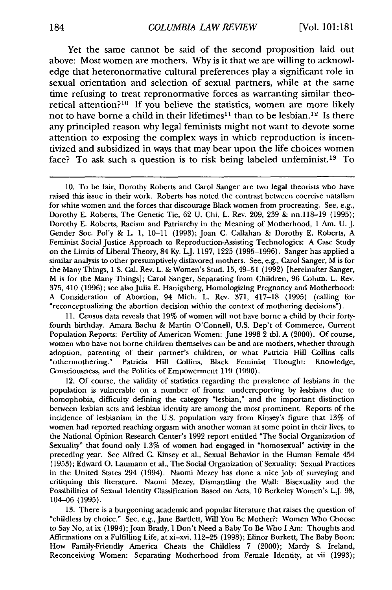Yet the same cannot be said of the second proposition laid out above: Most women are mothers. Why is it that we are willing to acknowledge that heteronormative cultural preferences play a significant role in sexual orientation and selection of sexual partners, while at the same time refusing to treat repronormative forces as warranting similar theoretical attention?<sup>10</sup> If you believe the statistics, women are more likely not to have borne a child in their lifetimes<sup>11</sup> than to be lesbian.<sup>12</sup> Is there any principled reason why legal feminists might not want to devote some attention to exposing the complex ways in which reproduction is incentivized and subsidized in ways that may bear upon the life choices women face? To ask such a question is to risk being labeled unfeminist.13 To

10. To be fair, Dorothy Roberts and Carol Sanger are two legal theorists who have raised this issue in their work. Roberts has noted the contrast between coercive natalism for white women and the forces that discourage Black women from procreating. See, e.g., Dorothy E. Roberts, The Genetic Tie, 62 U. Chi. L. Rev. 209, 239 & nn.118-19 (1995); Dorothy E. Roberts, Racism and Patriarchy in the Meaning of Motherhood, 1 Am. U. J. Gender Soc. Pol'y & L. 1, 10-11 (1993); Joan C. Callahan & Dorothy E. Roberts, A Feminist Social Justice Approach to Reproduction-Assisting Technologies: A Case Study on the Limits of Liberal Theory, 84 Ky. L.J. 1197, 1225 (1995-1996). Sanger has applied a similar analysis to other presumptively disfavored mothers. See, e.g., Carol Sanger, M is for the Many Things, **I** S. Cal. Rev. L. & Women's Stud. 15, 49-51 (1992) [hereinafter Sanger, M is for the Many Things]; Carol Sanger, Separating from Children, 96 Colum. L. Rev. 375, 410 (1996); see also Julia E. Hanigsberg, Homologizing Pregnancy and Motherhood: A Consideration of Abortion, 94 Mich. L. Rev. 371, 417-18 (1995) (calling for reconceptualizing the abortion decision within the context of mothering decisions").

11. Census data reveals that 19% of women will not have borne a child by their fortyfourth birthday. Amara Bachu & Martin O'Connell, U.S. Dep't of Commerce, Current Population Reports: Fertility of American Women: June 1998 2 tbl. A (2000). Of course, women who have not borne children themselves can be and are mothers, whether through adoption, parenting of their partner's children, or what Patricia Hill Collins calls "othermothering." Patricia Hill Collins, Black Feminist Thought: Knowledge, Consciousness, and the Politics of Empowerment 119 (1990).

12. Of course, the validity of statistics regarding the prevalence of lesbians in the population is vulnerable on a number of fronts: underreporting by lesbians due to homophobia, difficulty defining the category "lesbian," and the important distinction between lesbian acts and lesbian identity are among the most prominent. Reports of the incidence of lesbianism in the U.S. population vary from Kinsey's figure that 13% of women had reported reaching orgasm with another woman at some point in their lives, to the National Opinion Research Center's 1992 report entitled "The Social Organization of Sexuality" that found only 1.3% of women had engaged in "homosexual" activity in the preceding year. See Alfred C. Kinsey et al., Sexual Behavior in the Human Female 454 (1953); Edward **0.** Laumann et al., The Social Organization of Sexuality: Sexual Practices in the United States 294 (1994). Naomi Mezey has done a nice job of surveying and critiquing this literature. Naomi Mezey, Dismantling the Wall: Bisexuality and the Possibilities of Sexual Identity Classification Based on Acts, 10 Berkeley Women's L.J. 98, 104-06 (1995).

**13.** There is a burgeoning academic and popular literature that raises the question of "childless **by** choice." See, e.g., Jane Bartlett, Will You Be Mother?: Women Who Choose to Say No, at ix (1994); Joan Brady, 1 Don't Need a Baby To Be Who I Am: Thoughts and Affirmations on a Fulfilling Life, at xi-xvi, **112-25 (1998);** Elinor Burkett, The Baby Boon: How Family-Friendly America Cheats the Childless **7** (2000); Mardy **S.** Ireland, Reconceiving Women: Separating Motherhood from Female Identity, at vii **(1993);**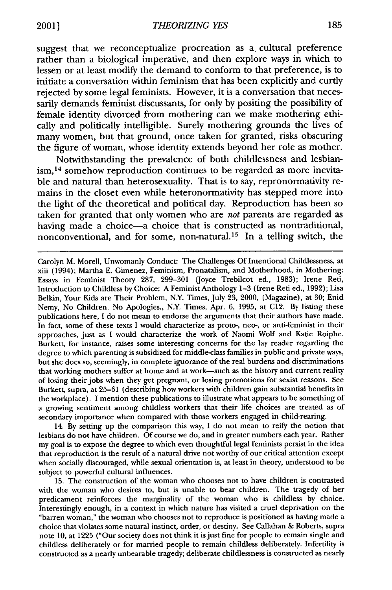suggest that we reconceptualize procreation as a. cultural preference rather than a biological imperative, and then explore ways in which to lessen or at least modify the demand to conform to that preference, is to initiate a conversation within feminism that has been explicitly and curtly rejected by some legal feminists. However, it is a conversation that necessarily demands feminist discussants, for only by positing the possibility of female identity divorced from mothering can we make mothering ethically and politically intelligible. Surely mothering grounds the lives of many women, but that ground, once taken for granted, risks obscuring the figure of woman, whose identity extends beyond her role as mother.

Notwithstanding the prevalence of both childlessness and lesbian $ism, <sup>14</sup>$  somehow reproduction continues to be regarded as more inevitable and natural than heterosexuality. That is to say, repronormativity remains in the closet even while heteronormativity has stepped more into the light of the theoretical and political day. Reproduction has been so taken for granted that only women who are *not* parents are regarded as having made a choice-a choice that is constructed as nontraditional, nonconventional, and for some, non-natural.<sup>15</sup> In a telling switch, the

Carolyn M. Morell, Unwomanly Conduct: The Challenges Of Intentional Childlessness, at xiii (1994); Martha E. Gimenez, Feminism, Pronatalism, and Motherhood, *in* Mothering: Essays in Feminist Theory 287, 299-301 (Joyce Trebilcot ed., 1983); Irene Reti, Introduction to Childless by Choice: A Feminist Anthology 1-3 (Irene Reti ed., 1992); Lisa Belkin, Your Kids are Their Problem, N.Y. Times, July 23, 2000, (Magazine), at 30; Enid Nemy, No Children. No Apologies., N.Y. Times, Apr. 6, 1995, at C12. By listing these publications here, I do not mean to endorse the arguments that their authors have made. In fact, some of these texts I would characterize as proto-, neo-, or anti-feminist in their approaches, just as I would characterize the work of Naomi Wolf and Katie Roiphe. Burkett, for instance, raises some interesting concerns for the lay reader regarding the degree to which parenting is subsidized for middle-class families in public and private ways, but she does so, seemingly, in complete ignorance of the real burdens and discriminations that working mothers suffer at home and at work-such as the history and current reality of losing their jobs when they get pregnant, or losing promotions for sexist reasons. See Burkett, supra, at 25-61 (describing how workers with children gain substantial benefits in the workplace). I mention these publications to illustrate what appears to be something of a growing sentiment among childless workers that their life choices are treated as of secondary importance when compared with those workers engaged in child-rearing.

14. By setting up the comparison this way, I do not mean to reify the notion that lesbians do not have children. Of course we do, and in greater numbers each year. Rather my goal is to expose the degree to which even thoughtful legal feminists persist in the idea that reproduction is the result of a natural drive not worthy of our critical attention except when socially discouraged, while sexual orientation is, at least in theory, understood to be subject to powerful cultural influences.

15. The construction of the woman who chooses not to have children is contrasted with the woman who desires to, but is unable to bear children. The tragedy of her predicament reinforces the marginality of the woman who is childless by choice. Interestingly enough, in a context in which nature has visited a cruel deprivation on the "barren woman," the woman who chooses not to reproduce is positioned as having made a choice that violates some natural instinct, order, or destiny. See Callahan & Roberts, supra note 10, at 1225 ("Our society does not think it is just fine for people to remain single and childless deliberately or for married people to remain childless deliberately. Infertility is constructed as a nearly unbearable tragedy; deliberate childlessness is constructed as nearly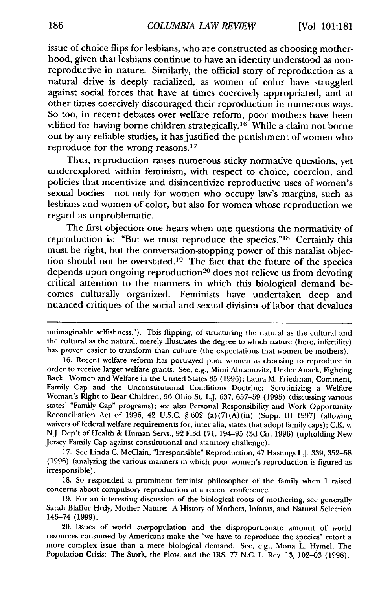issue of choice flips for lesbians, who are constructed as choosing motherhood, given that lesbians continue to have an identity understood as nonreproductive in nature. Similarly, the official story of reproduction as a natural drive is deeply racialized, as women of color have struggled against social forces that have at times coercively appropriated, and at other times coercively discouraged their reproduction in numerous ways. So too, in recent debates over welfare reform, poor mothers have been vilified for having borne children strategically.<sup>16</sup> While a claim not borne out by any reliable studies, it has justified the punishment of women who reproduce for the wrong reasons.<sup>17</sup>

Thus, reproduction raises numerous sticky normative questions, yet underexplored within feminism, with respect to choice, coercion, and policies that incentivize and disincentivize reproductive uses of women's sexual bodies—not only for women who occupy law's margins, such as lesbians and women of color, but also for women whose reproduction we regard as unproblematic.

The first objection one hears when one questions the normativity of reproduction is: "But we must reproduce the species."<sup>18</sup> Certainly this must be right, but the conversation-stopping power of this natalist objection should not be overstated.<sup>19</sup> The fact that the future of the species depends upon ongoing reproduction<sup>20</sup> does not relieve us from devoting critical attention to the manners in which this biological demand becomes culturally organized. Feminists have undertaken deep and nuanced critiques of the social and sexual division of labor that devalues

17. See Linda C. McClain, "Irresponsible" Reproduction, 47 Hastings LJ. 339, 352-58 (1996) (analyzing the various manners in which poor women's reproduction is figured as irresponsible).

18. So responded a prominent feminist philosopher of the family when I raised concerns about compulsory reproduction at a recent conference.

19. For an interesting discussion of the biological roots of mothering, see generally Sarah Blaffer Hrdy, Mother Nature: A History of Mothers, Infants, and Natural Selection 146-74 (1999).

20. Issues of world overpopulation and the disproportionate amount of world resources consumed by Americans make the "we have to reproduce the species" retort a more complex issue than a mere biological demand. See, e.g., Mona L. Hymel, The Population Crisis: The Stork, the Plow, and the IRS, 77 N.C. L. Rev. 13, 102-03 (1998).

unimaginable selfishness."). This flipping, of structuring the natural as the cultural and the cultural as the natural, merely illustrates the degree to which nature (here, infertility) has proven easier to transform than culture (the expectations that women be mothers).

<sup>16.</sup> Recent welfare reform has portrayed poor women as choosing to reproduce in order to receive larger welfare grants. See, e.g., Mimi Abramovitz, Under Attack, Fighting Back: Women and Welfare in the United States 35 (1996); Laura M. Friedman, Comment, Family Cap and the Unconstitutional Conditions Doctrine: Scrutinizing a Welfare Woman's Right to Bear Children, 56 Ohio St. L.J. 637, 657-59 (1995) (discussing various states' "Family Cap" programs); see also Personal Responsibility and Work Opportunity Reconciliation Act of 1996, 42 U.S.C. § 602 (a) (7) (A) (iii) (Supp. III 1997) (allowing waivers of federal welfare requirements for, inter alia, states that adopt family caps); C.K. v.<br>N.J. Dep't of Health & Human Servs., 92 F.3d 171, 194-95 (3d Cir. 1996) (upholding New Jersey Family Cap against constitutional and statutory challenge).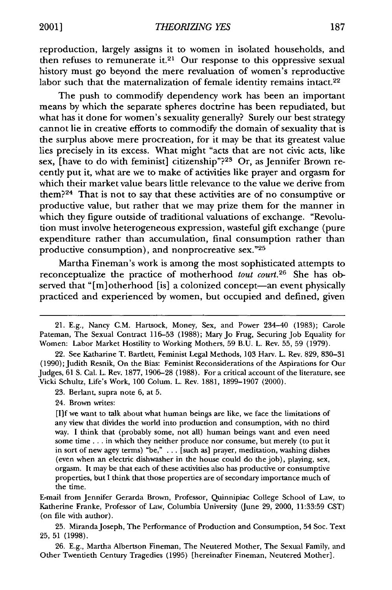reproduction, largely assigns it to women in isolated households, and then refuses to remunerate it.21 Our response to this oppressive sexual history must go beyond the mere revaluation of women's reproductive labor such that the maternalization of female identity remains intact.<sup>22</sup>

The push to commodify dependency work has been an important means by which the separate spheres doctrine has been repudiated, but what has it done for women's sexuality generally? Surely our best strategy cannot lie in creative efforts to commodify the domain of sexuality that is the surplus above mere procreation, for it may be that its greatest value lies precisely in its excess. What might "acts that are not civic acts, like sex, [have to do with feminist] citizenship"?<sup>23</sup> Or, as Jennifer Brown recently put it, what are we to make of activities like prayer and orgasm for which their market value bears little relevance to the value we derive from them? 24 That is not to say that these activities are of no consumptive or productive value, but rather that we may prize them for the manner in which they figure outside of traditional valuations of exchange. "Revolution must involve heterogeneous expression, wasteful gift exchange (pure expenditure rather than accumulation, final consumption rather than productive consumption), and nonprocreative sex."<sup>25</sup>

Martha Fineman's work is among the most sophisticated attempts to reconceptualize the practice of motherhood *tout court*.<sup>26</sup> She has observed that "[m]otherhood [is] a colonized concept-an event physically practiced and experienced by women, but occupied and defined, given

E-mail from Jennifer Gerarda Brown, Professor, Quinnipiac College School of Law, to Katherine Franke, Professor of Law, Columbia University (June 29, 2000, 11:33:59 CST) (on file with author).

26. E.g., Martha Albertson Fineman, The Neutered Mother, The Sexual Family, and Other Twentieth Century Tragedies (1995) [hereinafter Fineman, Neutered Mother].

<sup>21.</sup> E.g., Nancy C.M. Hartsock, Money, Sex, and Power 234-40 (1983); Carole Pateman, The Sexual Contract 116-53 (1988); Mary Jo Frug, Securing Job Equality for Women: Labor Market Hostility to Working Mothers, 59 B.U. L. Rev. 55, 59 (1979).

<sup>22.</sup> See Katharine T. Bartlett, Feminist Legal Methods, 103 Harv. L. Rev. 829, 830-31 (1990);Judith Resnik, On the Bias: Feminist Reconsiderations of the Aspirations for Our Judges, 61 **S.** Cal. L. Rev. **1877,** 1906-28 (1988). For a critical account of the literature, see Vicki Schultz, Life's Work, 100 Colum. L. Rev. 1881, 1899-1907 (2000).

<sup>23.</sup> Berlant, supra note 6, at **5.**

<sup>24.</sup> Brown writes:

<sup>[</sup>I]f we want to talk about what human beings are like, we face the limitations of any view that divides the world into production and consumption, with no third way. **I** think that (probably some, not all) human beings want and even need some time... in which they neither produce nor consume, but merely (to put it in sort of new agey terms) "be," . **.**. [such as] prayer, meditation, washing dishes (even when an electric dishwasher in the house could do the job), playing, sex, orgasm. It may be that each of these activities also has productive or consumptive properties, but **I** think that those properties are of secondary importance much of the time.

<sup>25.</sup> MirandaJoseph, The Performance of Production and Consumption, 54 Soc. Text 25, 51 (1998).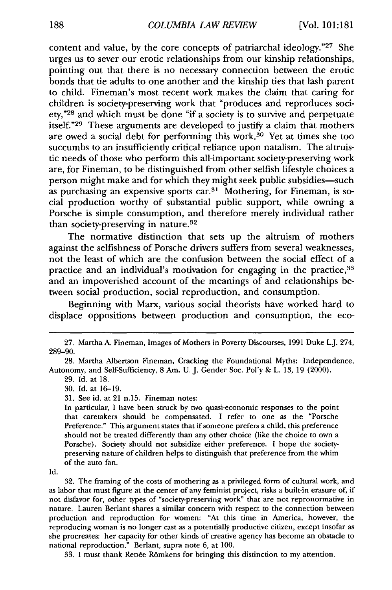content and value, by the core concepts of patriarchal ideology."27 She urges us to sever our erotic relationships from our kinship relationships, pointing out that there is no necessary connection between the erotic bonds that tie adults to one another and the kinship ties that lash parent to child. Fineman's most recent work makes the claim that caring for children is society-preserving work that "produces and reproduces society,"28 and which must be done "if a society is to survive and perpetuate itself."29 These arguments are developed to justify a claim that mothers are owed a social debt for performing this work.<sup>30</sup> Yet at times she too succumbs to an insufficiently critical reliance upon natalism. The altruistic needs of those who perform this all-important society-preserving work are, for Fineman, to be distinguished from other selfish lifestyle choices a person might make and for which they might seek public subsidies-such as purchasing an expensive sports car.31 Mothering, for Fineman, is social production worthy of substantial public support, while owning a Porsche is simple consumption, and therefore merely individual rather than society-preserving in nature.<sup>32</sup>

The normative distinction that sets up the altruism of mothers against the selfishness of Porsche drivers suffers from several weaknesses, not the least of which are the confusion between the social effect of a practice and an individual's motivation for engaging in the practice, 33 and an impoverished account of the meanings of and relationships between social production, social reproduction, and consumption.

Beginning with Marx, various social theorists have worked hard to displace oppositions between production and consumption, the eco-

31. See id. at 21 n.15. Fineman notes:

In particular, I have been struck by two quasi-economic responses to the point that caretakers should be compensated. I refer to one as the "Porsche Preference." This argument states that if someone prefers a child, this preference should not be treated differently than any other choice (like the choice to own a Porsche). Society should not subsidize either preference. I hope the societypreserving nature of children helps to distinguish that preference from the whim of the auto fan.

Id.

32. The framing of the costs of mothering as a privileged form of cultural work, and as labor that must figure at the center of any feminist project, risks a built-in erasure of, if not disfavor for, other types of "society-preserving work" that are not repronormative in nature. Lauren Berlant shares a similar concern with respect to the connection between production and reproduction for women: "At this time in America, however, the reproducing woman is no longer cast as a potentially productive citizen, except insofar as she procreates: her capacity for other kinds of creative agency has become an obstacle to national reproduction." Berlant, supra note 6, at 100.

33. I must thank Renée Römkens for bringing this distinction to my attention.

<sup>27.</sup> Martha A. Fineman, Images of Mothers in Poverty Discourses, 1991 Duke L.J. 274, 289-90.

<sup>28.</sup> Martha Albertson Fineman, Cracking the Foundational Myths: Independence, Autonomy, and Self-Sufficiency, 8 Am. U.J. Gender Soc. Pol'y & L. 13, 19 (2000).

<sup>29.</sup> Id. at 18.

<sup>30.</sup> Id. at 16-19.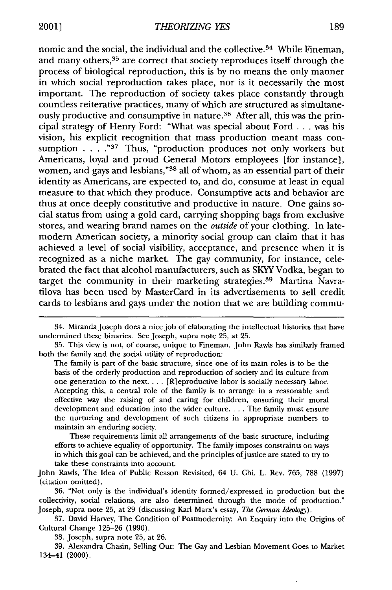nomic and the social, the individual and the collective. 34 While Fineman, and many others, $35$  are correct that society reproduces itself through the process of biological reproduction, this is by no means the only manner in which social reproduction takes place, nor is it necessarily the most important. The reproduction of society takes place constantly through countless reiterative practices, many of which are structured as simultaneously productive and consumptive in nature. 36 After all, this was the principal strategy of Henry Ford: "What was special about Ford . . . was his vision, his explicit recognition that mass production meant mass consumption . . . . .<sup>797</sup> Thus, "production produces not only workers but Americans, loyal and proud General Motors employees [for instance], women, and gays and lesbians,"<sup>38</sup> all of whom, as an essential part of their identity as Americans, are expected to, and do, consume at least in equal measure to that which they produce. Consumptive acts and behavior are thus at once deeply constitutive and productive in nature. One gains social status from using a gold card, carrying shopping bags from exclusive stores, and wearing brand names on the *outside* of your clothing. In latemodem American society, a minority social group can claim that it has achieved a level of social visibility, acceptance, and presence when it is recognized as a niche market. The gay community, for instance, celebrated the fact that alcohol manufacturers, such as SKYY Vodka, began to target the community in their marketing strategies.<sup>39</sup> Martina Navratilova has been used by MasterCard in its advertisements to sell credit cards to lesbians and gays under the notion that we are building commu-

The family is part of the basic structure, since one of its main roles is to be the basis of the orderly production and reproduction of society and its culture from one generation to the next **....** [R]eproductive labor is socially necessary labor. Accepting this, a central role of the family is to arrange in a reasonable and effective way the raising of and caring for children, ensuring their moral development and education into the wider culture **....** The family must ensure the nurturing and development of such citizens in appropriate numbers to maintain an enduring society.

These requirements limit all arrangements of the basic structure, including efforts to achieve equality of opportunity. The family imposes constraints on ways in which this goal can be achieved, and the principles of justice are stated to try to take these constraints into account.

John Rawls, The Idea of Public Reason Revisited, 64 U. Chi. L. Rev. 765, 788 (1997) (citation omitted).

36. "Not only is the individual's identity formed/expressed in production but the collectivity, social relations, are also determined through the mode of production." Joseph, supra note 25, at 29 (discussing Karl Marx's essay, *The German Ideology).*

37. David Harvey, The Condition of Postmodernity: An Enquiry into the Origins of Cultural Change 125-26 (1990).

38. Joseph, supra note 25, at 26.

39. Alexandra Chasin, Selling Out: The Gay and Lesbian Movement Goes to Market 134-41 (2000).

<sup>34.</sup> Miranda Joseph does a nice job of elaborating the intellectual histories that have undermined these binaries. See Joseph, supra note 25, at 25.

<sup>35.</sup> This view is not, of course, unique to Fineman. John Rawls has similarly framed both the family and the social utility of reproduction: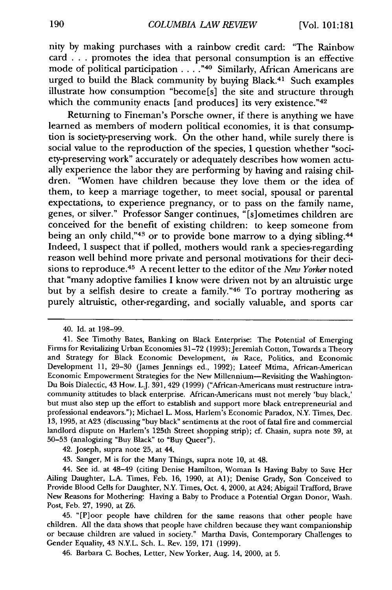nity by making purchases with a rainbow credit card: "The Rainbow card . . . promotes the idea that personal consumption is an effective mode of political participation **.... "40** Similarly, African Americans are urged to build the Black community by buying Black.<sup>41</sup> Such examples illustrate how consumption "become[s] the site and structure through which the community enacts [and produces] its very existence."42

Returning to Fineman's Porsche owner, if there is anything we have learned as members of modern political economies, it is that consumption is society-preserving work. On the other hand, while surely there is social value to the reproduction of the species, I question whether "society-preserving work" accurately or adequately describes how women actually experience the labor they are performing by having and raising children. "Women have children because they love them or the idea of them, to keep a marriage together, to meet social, spousal or parental expectations, to experience pregnancy, or to pass on the family name, genes, or silver." Professor Sanger continues, "[s]ometimes children are conceived for the benefit of existing children: to keep someone from being an only child,"<sup>43</sup> or to provide bone marrow to a dying sibling.<sup>44</sup> Indeed, I suspect that if polled, mothers would rank a species-regarding reason well behind more private and personal motivations for their decisions to reproduce. 45 A recent letter to the editor of the *New Yorker* noted that "many adoptive families I know were driven not by an altruistic urge but by a selfish desire to create a family."<sup>46</sup> To portray mothering as purely altruistic, other-regarding, and socially valuable, and sports car

42. Joseph, supra note 25, at 44.

43. Sanger, M is for the Many Things, supra note 10, at 48.

44. See id. at 48-49 (citing Denise Hamilton, Woman Is Having Baby to Save Her Ailing Daughter, L.A. Times, Feb. 16, 1990, at Al); Denise Grady, Son Conceived to Provide Blood Cells for Daughter, N.Y. Times, Oct. 4, 2000, at A24; Abigail Trafford, Brave New Reasons for Mothering: Having a Baby to Produce a Potential Organ Donor, Wash. Post, Feb. 27, 1990, at Z6.

45. "[P]oor people have children for the same reasons that other people have children. All the data shows that people have children because they want companionship or because children are valued in society." Martha Davis, Contemporary Challenges to Gender Equality, 43 N.Y.L. Sch. L. Rev. 159, 171 (1999).

46. Barbara C. Boches, Letter, New Yorker, Aug. 14, 2000, at 5.

<sup>40.</sup> Id. at 198-99.

<sup>41.</sup> See Timothy Bates, Banking on Black Enterprise: The Potential of Emerging Firms for Revitalizing Urban Economies 31-72 (1993); Jeremiah Cotton, Towards a Theory and Strategy for Black Economic Development, *in* Race, Politics, and Economic Development 11, 29-30 (James Jennings ed., 1992); Lateef Mtima, African-American Economic Empowerment Strategies for the New Millennium-Revisiting the Washington-Du Bois Dialectic, 43 How. L.J. 391, 429 (1999) ("African-Americans must restructure intracommunity attitudes to black enterprise. African-Americans must not merely 'buy black,' but must also step up the effort to establish and support more black entrepreneurial and professional endeavors."); Michael L. Moss, Harlem's Economic Paradox, N.Y. Times, Dec. 13, 1995, at A23 (discussing "buy black" sentiments at the root of fatal fire and commercial landlord dispute on Harlem's 125th Street shopping strip); cf. Chasin, supra note 39, at 50-53 (analogizing "Buy Black" to "Buy Queer").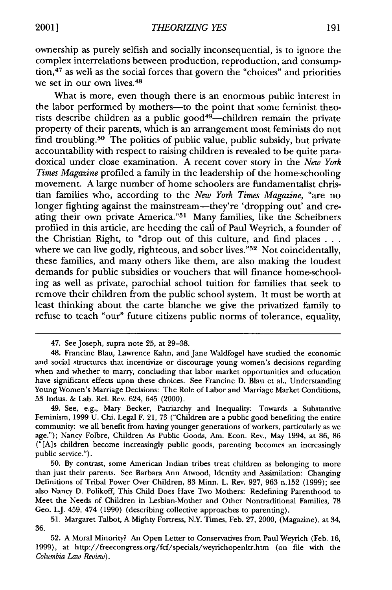ownership as purely selfish and socially inconsequential, is to ignore the complex interrelations between production, reproduction, and consump- $\frac{1}{2}$  tion,  $\frac{1}{47}$  as well as the social forces that govern the "choices" and priorities we set in our own lives.<sup>48</sup>

What is more, even though there is an enormous public interest in the labor performed by mothers-to the point that some feminist theorists describe children as a public good<sup>49</sup>—children remain the private property of their parents, which is an arrangement most feminists do not find troubling.<sup>50</sup> The politics of public value, public subsidy, but private accountability with respect to raising children is revealed to be quite paradoxical under close examination. A recent cover story in the *New York Times Magazine* profiled a family in the leadership of the home-schooling movement. A large number of home schoolers are fundamentalist christian families who, according to the *New York Times Magazine,* "are no longer fighting against the mainstream—they're 'dropping out' and creating their own private America."51 Many families, like the Scheibners profiled in this article, are heeding the call of Paul Weyrich, a founder of the Christian Right, to "drop out of this culture, and find places **...** where we can live godly, righteous, and sober lives."<sup>52</sup> Not coincidentally, these families, and many others like them, are also making the loudest demands for public subsidies or vouchers that will finance home-schooling as well as private, parochial school tuition for families that seek to remove their children from the public school system. It must be worth at least thinking about the carte blanche we give the privatized family to refuse to teach "our" future citizens public norms of tolerance, equality,

<sup>47.</sup> See Joseph, supra note 25, at 29-38.

<sup>48.</sup> Francine Blau, Lawrence Kahn, and Jane Waldfogel have studied the economic and social structures that incentivize or discourage young women's decisions regarding when and whether to marry, concluding that labor market opportunities and education have significant effects upon these choices. See Francine D. Blau et al., Understanding Young Women's Marriage Decisions: The Role of Labor and Marriage Market Conditions, 53 Indus. & Lab. Rel. Rev. 624, 645 (2000).

<sup>49.</sup> See, e.g., Mary Becker, Patriarchy and Inequality: Towards a Substantive Feminism, 1999 U. Chi. Legal F. 21, 73 ("Children are a public good benefiting the entire community: we all benefit from having younger generations of workers, particularly as we age."); Nancy Folbre, Children As Public Goods, Am. Econ. Rev., May 1994, at 86, 86 ("[A]s children become increasingly public goods, parenting becomes an increasingly public service.").

<sup>50.</sup> By contrast, some American Indian tribes treat children as belonging to more than just their parents. See Barbara Ann Atwood, Identity and Assimilation: Changing Definitions of Tribal Power Over Children, 83 Minn. L. Rev. 927, 963 n.152 (1999); see also Nancy D. Polikoff, This Child Does Have Two Mothers: Redefining Parenthood to Meet the Needs of Children in Lesbian-Mother and Other Nontraditional Families, 78 Geo. L.J. 459, 474 (1990) (describing collective approaches to parenting).

<sup>51.</sup> Margaret Talbot, A Mighty Fortress, N.Y. Times, Feb. 27, 2000, (Magazine), at 34, 36.

<sup>52.</sup> A Moral Minority? An Open Letter to Conservatives from Paul Weyrich (Feb. 16, 1999), at http://freecongress.org/fcf/specials/weyrichopenltr.htm (on file with the *Columbia Law Review).*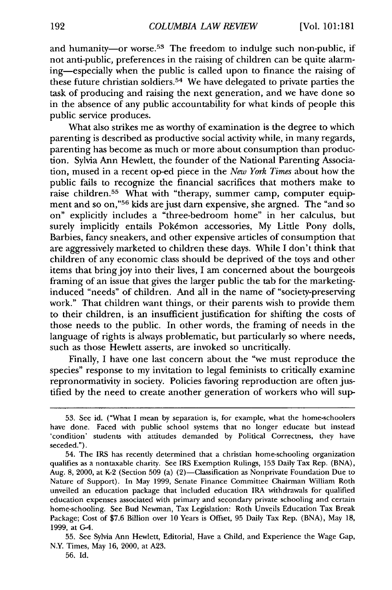and humanity-or worse.<sup>53</sup> The freedom to indulge such non-public, if not anti-public, preferences in the raising of children can be quite alarming-especially when the public is called upon to finance the raising of these future christian soldiers. 54 We have delegated to private parties the task of producing and raising the next generation, and we have done so in the absence of any public accountability for what kinds of people this public service produces.

What also strikes me as worthy of examination is the degree to which parenting is described as productive social activity while, in many regards, parenting has become as much or more about consumption than production. Sylvia Ann Hewlett, the founder of the National Parenting Association, mused in a recent op-ed piece in the *New York Times* about how the public fails to recognize the financial sacrifices that mothers make to raise children.<sup>55</sup> What with "therapy, summer camp, computer equipment and so on,"<sup>56</sup> kids are just darn expensive, she argned. The "and so on" explicitly includes a "three-bedroom home" in her calculus, but surely implicitly entails Pokémon accessories, My Little Pony dolls, Barbies, fancy sneakers, and other expensive articles of consumption that are aggressively marketed to children these days. While I don't think that children of any economic class should be deprived of the toys and other items that bring joy into their lives, I am concerned about the bourgeois framing of an issue that gives the larger public the tab for the marketinginduced "needs" of children. And all in the name of "society-preserving work." That children want things, or their parents wish to provide them to their children, is an insufficient justification for shifting the costs of those needs to the public. In other words, the framing of needs in the language of rights is always problematic, but particularly so where needs, such as those Hewlett asserts, are invoked so uncritically.

Finally, I have one last concern about the "we must reproduce the species" response to my invitation to legal feminists to critically examine repronormativity in society. Policies favoring reproduction are often justified by the need to create another generation of workers who will sup-

<sup>53.</sup> See id. ("What I mean by separation is, for example, what the home-schoolers have done. Faced with public school systems that no longer educate but instead 'condition' students with attitudes demanded by Political Correctness, they have seceded.").

<sup>54.</sup> The IRS has recently determined that a christian home-schooling organization qualifies as a nontaxable charity. See IRS Exemption Rulings, 153 Daily Tax Rep. (BNA), Aug. 8, 2000, at K-2 (Section 509 (a) (2)-Classification as Nonprivate Foundation Due to Nature of Support). In May 1999, Senate Finance Committee Chairman William Roth unveiled an education package that included education IRA withdrawals for qualified education expenses associated with primary and secondary private schooling and certain home-schooling. See Bud Newman, Tax Legislation: Roth Unveils Education Tax Break Package; Cost of \$7.6 Billion over 10 Years is Offset, 95 Daily Tax Rep. (BNA), May 18, 1999, at G-4.

<sup>55.</sup> See Sylvia Ann Hewlett, Editorial, Have a Child, and Experience the Wage Gap, N.Y. Times, May 16, 2000, at A23.

<sup>56.</sup> Id.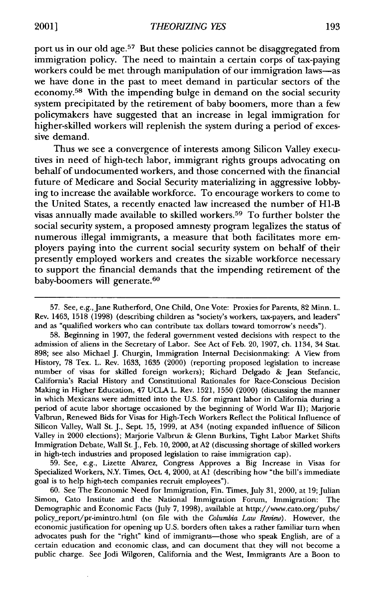port us in our old age.<sup>57</sup> But these policies cannot be disaggregated from immigration policy. The need to maintain a certain corps of tax-paying workers could be met through manipulation of our immigration laws-as we have done in the past to meet demand in particular sectors of the economy.58 With the impending bulge in demand on the social security system precipitated by the retirement of baby boomers, more than a few policymakers have suggested that an increase in legal immigration for higher-skilled workers will replenish the system during a period of excessive demand.

Thus we see a convergence of interests among Silicon Valley executives in need of high-tech labor, immigrant rights groups advocating on behalf of undocumented workers, and those concerned with the financial future of Medicare and Social Security materializing in aggressive lobbying to increase the available workforce. To encourage workers to come to the United States, a recently enacted law increased the number of Hi-B visas annually made available to skilled workers.<sup>59</sup> To further bolster the social security system, a proposed amnesty program legalizes the status of numerous illegal immigrants, a measure that both facilitates more employers paying into the current social security system on behalf of their presently employed workers and creates the sizable workforce necessary to support the financial demands that the impending retirement of the baby-boomers will generate.<sup>60</sup>

**58.** Beginning in **1907,** the federal government vested decisions with respect to the admission of aliens in the Secretary of Labor. See Act of Feb. 20, **1907,** ch. **1134,** 34 Stat. **898;** see also Michael **J.** Churgin, Immigration Internal Decisionmaking: **A** View from History, **78** Tex. L. Rev. **1633, 1635** (2000) (reporting proposed legislation to increase number of visas for skilled foreign workers); Richard Delgado **&** Jean Stefancic, California's Racial History and Constitutional Rationales for Race-Conscious Decision Making in Higher Education, 47 UCLA L. Rev. **1521, 1550** (2000) (discussing the manner in which Mexicans were admitted into the **U.S.** for migrant labor in California during a period of acute labor shortage occasioned **by** the beginning of World War **II);** Marjorie Valbrun, Renewed Bids for Visas for High-Tech Workers Reflect the Political Influence of Silicon Valley, Wall St. **J.,** Sept. **15, 1999,** at A34 (noting expanded influence of Silicon Valley in 2000 elections); Marjorie Valbrun **&** Glenn Burkins, Tight Labor Market Shifts Immigration Debate, Wall St. **J.,** Feb. **10,** 2000, at **A2** (discussing shortage of skilled workers in high-tech industries and proposed legislation to raise immigration cap).

**59.** See, e.g., Lizette Alvarez, Congress Approves a Big Increase in Visas for Specialized Workers, N.Y. Times, Oct. 4, 2000, at **Al** (describing how "the bill's immediate goal is to help high-tech companies recruit employees").

**60.** See The Economic Need for Immigration, Fin. Times, July **31,** 2000, at **19;** Julian Simon, Cato Institute and the National Immigration Forum, Immigration: The Demographic and Economic Facts (July 7, 1998), available at http://www.cato.org/pubs/ policy.report/pr-imintro.html (on file with the *Columbia Law Review).* However, the economic justification for opening up U.S. borders often takes a rather familiar turn when advocates push for the "right" kind of immigrants-those who speak English, are of a certain education and economic class, and can document that they will not become a public charge. See Jodi Wilgoren, California and the West, Immigrants Are a Boon to

**<sup>57.</sup>** See, e.g., Jane Rutherford, One Child, One Vote: Proxies for Parents, **82** Minn. L. Rev. 1463, **1518 (1998)** (describing children as "society's workers, tax-payers, and leaders" and as "qualified workers who can contribute tax dollars toward tomorrow's needs").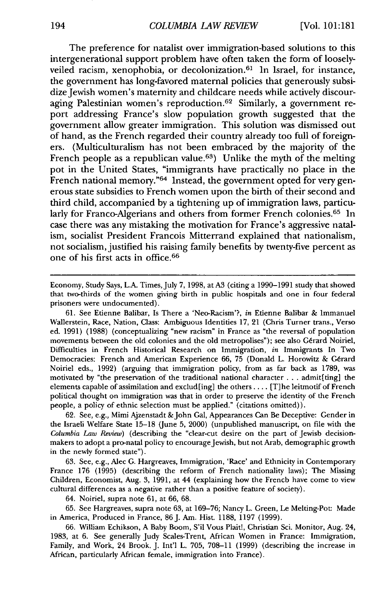The preference for natalist over immigration-based solutions to this intergenerational support problem have often taken the form of looselyveiled racism, xenophobia, or decolonization.<sup>61</sup> In Israel, for instance, the government has long-favored maternal policies that generously subsidize Jewish women's maternity and childcare needs while actively discouraging Palestinian women's reproduction.<sup>62</sup> Similarly, a government report addressing France's slow population growth suggested that the government allow greater immigration. This solution was dismissed out of hand, as the French regarded their country already too full of foreigners. (Multiculturalism has not been embraced by the majority of the French people as a republican value.<sup>63</sup>) Unlike the myth of the melting pot in the United States, "immigrants have practically no place in the French national memory."<sup>64</sup> Instead, the government opted for very generous state subsidies to French women upon the birth of their second and third child, accompanied by a tightening up of immigration laws, particularly for Franco-Algerians and others from former French colonies.<sup>65</sup> In case there was any mistaking the motivation for France's aggressive natalism, socialist President Francois Mitterrand explained that nationalism, not socialism, justified his raising family benefits by twenty-five percent as one of his first acts in office. <sup>66</sup>

62. See, e.g., Mimi Ajzenstadt &John Gal, Appearances Can Be Deceptive: Gender in the Israeli Welfare State 15-18 (June 5, 2000) (unpublished manuscript, on file with the *Columbia Law Review)* (describing the "clear-cut desire on the part of Jewish decisionmakers to adopt a pro-natal policy to encourage Jewish, but not Arab, demographic growth in the newly formed state").

63. See, e.g., Alec G. Hargreaves, Immigration, 'Race' and Ethnicity in Contemporary France 176 (1995) (describing the reform of French nationality laws); The Missing Children, Economist, Aug. 3, 1991, at 44 (explaining how the French have come to view cultural differences as a negative rather than a positive feature of society).

64. Noiriel, supra note 61, at 66, 68.

65. See Hargreaves, supra note 63, at 169-76; Nancy L. Green, Le Melting-Pot: Made in America, Produced in France, 86J. Am. Hist. 1188, 1197 (1999).

66. William Echikson, A Baby Boom, S'il Vous Plait!, Christian Sci. Monitor, Aug. 24, 1983, at 6. See generally Judy Scales-Trent, African Women in France: Immigration, Family, and Work, 24 Brook. J. Int'l L. 705, 708-11 (1999) (describing the increase in African, particularly African female, immigration into France).

Economy, Study Says, L.A. Times, July 7, 1998, at A3 (citing a 1990-1991 study that showed that two-thirds of the women giving birth in public hospitals and one in four federal prisoners were undocumented).

<sup>61.</sup> See Etienne Balibar, Is There a 'Neo-Racism'?, *in* Etienne Balibar & Immanuel Wallerstein, Race, Nation, Class: Ambiguous Identities 17, 21 (Chris Turner trans., Verso ed. 1991) (1988) (conceptualizing "new racism" in France as "the reversal of population movements between the old colonies and the old metropolises"); see also Gérard Noiriel, Difficulties in French Historical Research on Immigration, *in* Immigrants In Two Democracies: French and American Experience 66, 75 (Donald L. Horowitz & Gerard Noiriel eds., 1992) (arguing that immigration policy, from as far back as 1789, was motivated by "the preservation of the traditional national character... admit[ting] the elements capable of assimilation and exclud [ing] the others .... [T] he leitmotif of French political thought on immigration was that in order to preserve the identity of the French people, a policy of ethnic selection must be applied." (citations omitted)).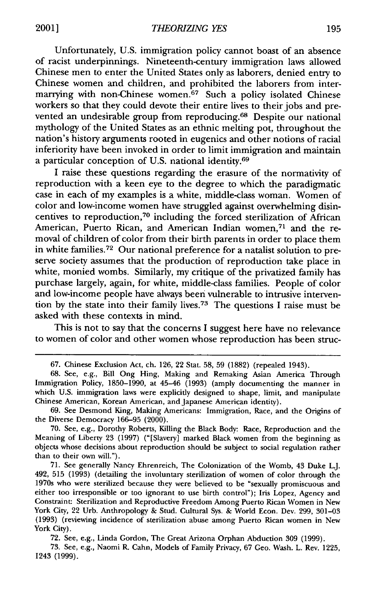Unfortunately, U.S. immigration policy cannot boast of an absence of racist underpinnings. Nineteenth-century immigration laws allowed Chinese men to enter the United States only as laborers, denied entry to Chinese women and children, and prohibited the laborers from intermarrying with non-Chinese women.<sup>67</sup> Such a policy isolated Chinese workers so that they could devote their entire lives to their jobs and prevented an undesirable group from reproducing.<sup>68</sup> Despite our national mythology of the United States as an ethnic melting pot, throughout the nation's history arguments rooted in eugenics and other notions of racial inferiority have been invoked in order to limit immigration and maintain a particular conception of U.S. national identity.<sup>69</sup>

I raise these questions regarding the erasure of the normativity of reproduction with a keen eye to the degree to which the paradigmatic case in each of my examples is a white, middle-class woman. Women of color and low-income women have struggled against overwhelming disincentives to reproduction,<sup>70</sup> including the forced sterilization of African American, Puerto Rican, and American Indian women,<sup>71</sup> and the removal of children of color from their birth parents in order to place them in white families. 72 Our national preference for a natalist solution to preserve society assumes that the production of reproduction take place in white, monied wombs. Similarly, my critique of the privatized family has purchase largely, again, for white, middle-class families. People of color and low-income people have always been vulnerable to intrusive intervention by the state into their family lives.<sup>73</sup> The questions I raise must be asked with these contexts in mind.

This is not to say that the concerns I suggest here have no relevance to women of color and other women whose reproduction has been struc-

69. See Desmond King, Making Americans: Immigration, Race, and the Origins of the Diverse Democracy 166-95 (2000).

70. See, e.g., Dorothy Roberts, Killing the Black Body: Race, Reproduction and the Meaning of Liberty 23 (1997) ("[Slavery] marked Black women from the beginning as objects whose decisions about reproduction should be subject to social regulation rather than to their own will.").

71. See generally Nancy Ehrenreich, The Colonization of the Womb, 43 Duke L.J. 492, 515 (1993) (detailing the involuntary sterilization of women of color through the 1970s who were sterilized because they were believed to be "sexually promiscuous and either too irresponsible or too ignorant to use birth control"); Iris Lopez, Agency and Constraint: Sterilization and Reproductive Freedom Among Puerto Rican Women in New York City, 22 Urb. Anthropology & Stud. Cultural Sys. & World Econ. Dev. 299, 301-03 (1993) (reviewing incidence of sterilization abuse among Puerto Rican women in New York City).

72. See, e.g., Linda Gordon, The Great Arizona Orphan Abduction 309 (1999).

73. See, e.g., Naomi R. Cahn, Models of Family Privacy, 67 Geo. Wash. L. Rev. 1225, 1243 (1999).

<sup>67.</sup> Chinese Exclusion Act, ch. 126, 22 Stat. 58, 59 (1882) (repealed 1943).

<sup>68.</sup> See, e.g., Bill Ong Hing, Making and Remaking Asian America Through Immigration Policy, 1850-1990, at 45-46 (1993) (amply documenting the manner in which U.S. immigration laws were explicitly designed to shape, limit, and manipulate Chinese American, Korean American, and Japanese American identity).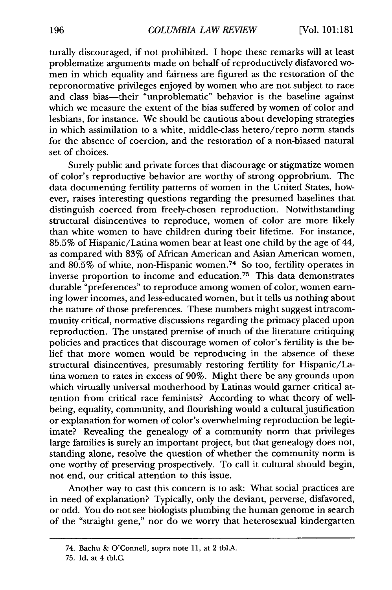turally discouraged, if not prohibited. I hope these remarks will at least problematize arguments made on behalf of reproductively disfavored women in which equality and fairness are figured as the restoration of the repronormative privileges enjoyed by women who are not subject to race and class bias-their "unproblematic" behavior is the baseline against which we measure the extent of the bias suffered by women of color and lesbians, for instance. We should be cautious about developing strategies in which assimilation to a white, middle-class hetero/repro norm stands for the absence of coercion, and the restoration of a non-biased natural set of choices.

Surely public and private forces that discourage or stigmatize women of color's reproductive behavior are worthy of strong opprobrium. The data documenting fertility patterns of women in the United States, however, raises interesting questions regarding the presumed baselines that distinguish coerced from freely-chosen reproduction. Notwithstanding structural disincentives to reproduce, women of color are more likely than white women to have children during their lifetime. For instance, 85.5% of Hispanic/Latina women bear at least one child by the age of 44, as compared with 83% of African American and Asian American women, and  $80.5\%$  of white, non-Hispanic women.<sup>74</sup> So too, fertility operates in inverse proportion to income and education.<sup>75</sup> This data demonstrates durable "preferences" to reproduce among women of color, women earning lower incomes, and less-educated women, but it tells us nothing about the nature of those preferences. These numbers might suggest intracommunity critical, normative discussions regarding the primacy placed upon reproduction. The unstated premise of much of the literature critiquing policies and practices that discourage women of color's fertility is the belief that more women would be reproducing in the absence of these structural disincentives, presumably restoring fertility for Hispanic/Latina women to rates in excess of 90%. Might there be any grounds upon which virtually universal motherhood by Latinas would garner critical attention from critical race feminists? According to what theory of wellbeing, equality, community, and flourishing would a cultural justification or explanation for women of color's overwhelming reproduction be legitimate? Revealing the genealogy of a community norm that privileges large families is surely an important project, but that genealogy does not, standing alone, resolve the question of whether the community norm is one worthy of preserving prospectively. To call it cultural should begin, not end, our critical attention to this issue.

Another way to cast this concern is to ask: What social practices are in need of explanation? Typically, only the deviant, perverse, disfavored, or odd. You do not see biologists plumbing the human genome in search of the "straight gene," nor do we worry that heterosexual kindergarten

<sup>74.</sup> Bachu & O'Connell, supra note 11, at 2 tbl.A.

<sup>75.</sup> Id. at 4 tbl.C.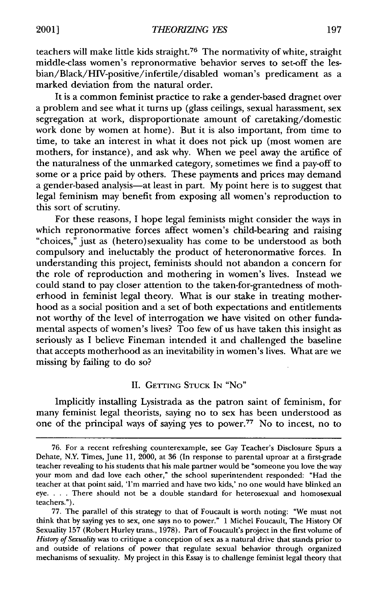teachers will make little kids straight.76 The normativity of white, straight middle-class women's repronormative behavior serves to set-off the lesbian/Black/HIV-positive/infertile/disabled woman's predicament as a marked deviation from the natural order.

It is a common feminist practice to rake a gender-based dragnet over a problem and see what it turns up (glass ceilings, sexual harassment, sex segregation at work, disproportionate amount of caretaking/domestic work done by women at home). But it is also important, from time to time, to take an interest in what it does not pick up (most women are mothers, for instance), and ask why. When we peel away the artifice of the naturalness of the unmarked category, sometimes we find a pay-off to some or a price paid by others. These payments and prices may demand a gender-based analysis—at least in part. My point here is to suggest that legal feminism may benefit from exposing all women's reproduction to this sort of scrutiny.

For these reasons, I hope legal feminists might consider the ways in which repronormative forces affect women's child-bearing and raising "choices," just as (hetero)sexuality has come to be understood as both compulsory and ineluctably the product of heteronormative forces. In understanding this project, feminists should not abandon a concern for the role of reproduction and mothering in women's lives. Instead we could stand to pay closer attention to the taken-for-grantedness of motherhood in feminist legal theory. What is our stake in treating motherhood as a social position and a set of both expectations and entitlements not worthy of the level of interrogation we have visited on other fundamental aspects of women's lives? Too few of us have taken this insight as seriously as I believe Fineman intended it and challenged the baseline that accepts motherhood as an inevitability in women's lives. What are we missing by failing to do so?

### II. GETTING STUCK IN "No"

Implicitly installing Lysistrada as the patron saint of feminism, for many feminist legal theorists, saying no to sex has been understood as one of the principal ways of saying yes to power. 77 No to incest, no to

<sup>76.</sup> For a recent refreshing counterexample, see Gay Teacher's Disclosure Spurs a Debate, N.Y. Times, June 11, 2000, at 36 (In response to parental uproar at a first-grade teacher revealing to his students that his male partner would be "someone you love the way your mom and dad love each other," the school superintendent responded: "Had the teacher at that point said, 'I'm married and have two kids,' no one would have blinked an eye. . **.** .There should not be a double standard for heterosexual and homosexual teachers.").

<sup>77.</sup> The parallel of this strategy to that of Foucault is worth noting: "We must not think that by saying yes to sex, one says no to power." 1 Michel Foucault, The History Of Sexuality 157 (Robert Hurley trans., 1978). Part of Foucault's project in the first volume of *History of Sexuality* was to critique a conception of sex as a natural drive that stands prior to and outside of relations of power that regulate sexual behavior through organized mechanisms of sexuality. My project in this Essay is to challenge feminist legal theory that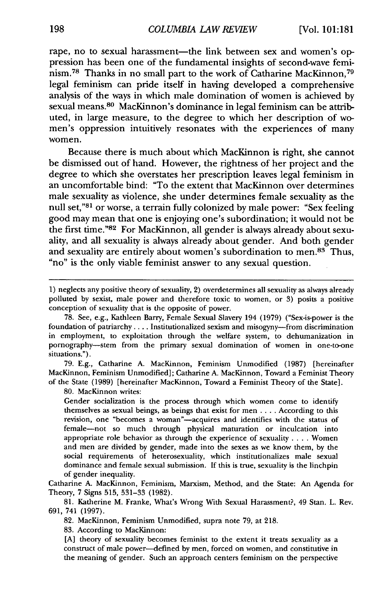rape, no to sexual harassment-the link between sex and women's oppression has been one of the fundamental insights of second-wave feminism. 78 Thanks in no small part to the work of Catharine MacKinnon, <sup>79</sup> legal feminism can pride itself in having developed a comprehensive analysis of the ways in which male domination of women is achieved by sexual means.<sup>80</sup> MacKinnon's dominance in legal feminism can be attributed, in large measure, to the degree to which her description of women's oppression intuitively resonates with the experiences of many women.

Because there is much about which MacKinnon is right, she cannot be dismissed out of hand. However, the rightness of her project and the degree to which she overstates her prescription leaves legal feminism in an uncomfortable bind: "To the extent that MacKinnon over determines male sexuality as violence, she under determines female sexuality as the null set,"<sup>81</sup> or worse, a terrain fully colonized by male power: "Sex feeling good may mean that one is enjoying one's subordination; it would not be the first time. '82 For MacKinnon, all gender is always already about sexuality, and all sexuality is always already about gender. And both gender and sexuality are entirely about women's subordination to men.<sup>83</sup> Thus, "no" is the only viable feminist answer to any sexual question.

79. E.g., Catharine A. MacKinnon, Feminism Unmodified (1987) [hereinafter MacKinnon, Feminism Unmodified]; Catharine A. MacKinnon, Toward a Feminist Theory of the State (1989) [hereinafter MacKinnon, Toward a Feminist Theory of the State].

80. MacKinnon writes:

Gender socialization is the process through which women come to identify themselves as sexual beings, as beings that exist for men .... According to this revision, one "becomes a woman"—acquires and identifies with the status of female-not so much through physical maturation or inculcation into appropriate role behavior as through the experience of sexuality **....** Women and men are divided by gender, made into the sexes as we know them, by the social requirements of heterosexuality, which institutionalizes male sexual dominance and female sexual submission. If this is true, sexuality is the linchpin of gender inequality.

Catharine A. MacKinnon, Feminism, Marxism, Method, and the State: An Agenda for Theory, 7 Signs 515, 531-33 (1982).

83. According to MacKinnon:

[A] theory of sexuality becomes feminist to the extent it treats sexuality as a construct of male power-defined by men, forced on women, and constitutive in the meaning of gender. Such an approach centers feminism on the perspective

**<sup>1)</sup>** neglects any positive theory of sexuality, 2) overdetermines all sexuality as always already polluted by sexist, male power and therefore toxic to women, or 3) posits a positive conception of sexuality that is the opposite of power.

<sup>78.</sup> See, e.g., Kathleen Barry, Female Sexual Slavery 194 (1979) ("Sex-is-power is the foundation of patriarchy .... Institutionalized sexism and misogyny-from discrimination in employment, to exploitation through the welfare system, to dehumanization in pornography-stem from the primary sexual domination of women in one-to-one situations.").

<sup>81.</sup> Katherine M. Franke, What's Wrong With Sexual Harassment?, 49 Stan. L. Rev. 691, 741 (1997).

<sup>82.</sup> MacKinnon, Feminism Unmodified, supra note 79, at 218.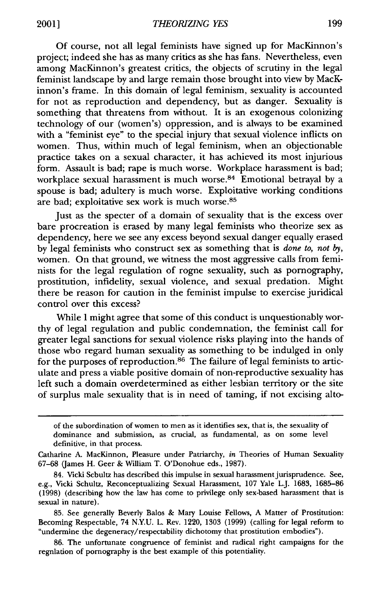**Of** course, not all legal feminists have signed up for MacKinnon's project; indeed she has as many critics as she has fans. Nevertheless, even among MacKinnon's greatest critics, the objects of scrutiny in the legal feminist landscape by and large remain those brought into view by MacKinnon's frame. In this domain of legal feminism, sexuality is accounted for not as reproduction and dependency, but as danger. Sexuality is something that threatens from without. It is an exogenous colonizing technology of our (women's) oppression, and is always to be examined with a "feminist eye" to the special injury that sexual violence inflicts on women. Thus, within much of legal feminism, when an objectionable practice takes on a sexual character, it has achieved its most injurious form. Assault is bad; rape is much worse. Workplace harassment is bad; workplace sexual harassment is much worse.84 Emotional betrayal by a spouse is bad; adultery is much worse. Exploitative working conditions are bad; exploitative sex work is much worse.<sup>85</sup>

Just as the specter of a domain of sexuality that is the excess over bare procreation is erased by many legal feminists who theorize sex as dependency, here we see any excess beyond sexual danger equally erased by legal feminists who construct sex as something that is *done to, not by,* women. On that ground, we witness the most aggressive calls from feminists for the legal regulation of rogne sexuality, such as pornography, prostitution, infidelity, sexual violence, and sexual predation. Might there be reason for caution in the feminist impulse to exercise juridical control over this excess?

While I might agree that some of this conduct is unquestionably worthy of legal regulation and public condemnation, the feminist call for greater legal sanctions for sexual violence risks playing into the hands of those who regard human sexuality as something to be indulged in only for the purposes of reproduction.<sup>86</sup> The failure of legal feminists to articulate and press a viable positive domain of non-reproductive sexuality has left such a domain overdetermined as either lesbian territory or the site of surplus male sexuality that is in need of taming, if not excising alto-

of the subordination of women to men as it identifies sex, that is, the sexuality of dominance and submission, as crucial, as fundamental, as on some level definitive, in that process.

Catharine A. MacKinnon, Pleasure under Patriarchy, *in* Theories of Human Sexuality 67-68 (James H. Geer & William T. O'Donohue eds., 1987).

84. Vicki Schultz has described this impulse in sexual harassment jurisprudence. See, e.g., Vicki Schultz, Reconceptualizing Sexual Harassment, 107 Yale L.J. 1683, 1685-86 (1998) (describing how the law has come to privilege only sex-based harassment that is sexual in nature).

85. See generally Beverly Balos & Mary Louise Fellows, A Matter of Prostitution: Becoming Respectable, 74 N.Y.U. L. Rev. 1220, 1303 (1999) (calling for legal reform to "undermine the degeneracy/respectability dichotomy that prostitution embodies").

86. The unfortunate congruence of feminist and radical right campaigns for the regnlation of pornography is the best example of this potentiality.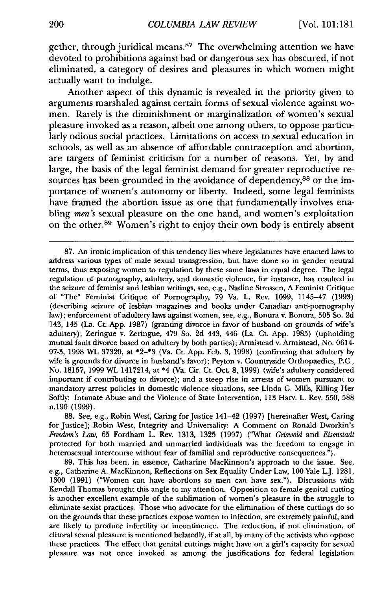gether, through juridical means. $87$  The overwhelming attention we have devoted to prohibitions against bad or dangerous sex has obscured, if not eliminated, a category of desires and pleasures in which women might actually want to indulge.

Another aspect of this dynamic is revealed in the priority given to arguments marshaled against certain forms of sexual violence against women. Rarely is the diminishment or marginalization of women's sexual pleasure invoked as a reason, albeit one among others, to oppose particularly odious social practices. Limitations on access to sexual education in schools, as well as an absence of affordable contraception and abortion, are targets of feminist criticism for a number of reasons. Yet, by and large, the basis of the legal feminist demand for greater reproductive resources has been grounded in the avoidance of dependency,<sup>88</sup> or the importance of women's autonomy or liberty. Indeed, some legal feminists have framed the abortion issue as one that fundamentally involves enabling *men's* sexual pleasure on the one hand, and women's exploitation on the other.89 Women's right to enjoy their own body is entirely absent

88. See, e.g., Robin West, Caring for Justice 141-42 (1997) [hereinafter West, Caring for Justice]; Robin West, Integrity and Universality: A Comment on Ronald Dworkin's *Freedom's Law,* 65 Fordham L. Rev. 1313, 1325 (1997) ("What *Griswold* and *Eisenstadt* protected for both married and unmarried individuals was the freedom to engage in heterosexual intercourse without fear of familial and reproductive consequences.").

89. This has been, in essence, Catharine MacKinnon's approach to the issue. See, e.g., Catharine A. MacKinnon, Reflections on Sex Equality Under Law, 100 Yale L.J. 1281, 1300 (1991) ("Women can have abortions so men can have sex."). Discussions with Kendall Thomas brought this angle to my attention. Opposition to female genital cutting is another excellent example of the sublimation of women's pleasure in the struggle to eliminate sexist practices. Those who advocate for the elimination of these cuttings do so on the grounds that these practices expose women to infection, are extremely painful, and are likely to produce infertility or incontinence. The reduction, if not elimination, of clitoral sexual pleasure is mentioned belatedly, if at all, by many of the activists who oppose these practices. The effect that genital cuttings might have on a girl's capacity for sexual pleasure was not once invoked as among the justifications for federal legislation

<sup>87.</sup> An ironic implication of this tendency lies where legislatures have enacted laws to address various types of male sexual transgression, but have done so in gender neutral terms, thus exposing women to regulation by these same laws in equal degree. The legal regulation of pornography, adultery, and domestic violence, for instance, has resulted in the seizure of feminist and lesbian writings, see, e.g., Nadine Strossen, A Feminist Critique of "The" Feminist Critique of Pornography, 79 Va. L. Rev. 1099, 1145-47 (1993) (describing seizure of lesbian magazines and books under Canadian anti-pornography law); enforcement of adultery laws against women, see, e.g., Bonura v. Bonura, 505 So. 2d 143, 145 (La. Ct. App. 1987) (granting divorce in favor of husband on grounds of wife's adultery); Zeringue v. Zeringue, 479 So. 2d 443, 446 (La. Ct. App. 1985) (upholding mutual fault divorce based on adultery by both parties); Armistead v. Armistead, No. 0614- 97-3, 1998 WL 37320, at \*2-\*3 (Va. Ct. App. Feb. 3, 1998) (confirming that adultery by wife is grounds for divorce in husband's favor); Peyton v. Countryside Orthopaedics, P.C., No. 18157, 1999 WL 1417214, at \*4 (Va. Cir. Ct. Oct. 8, 1999) (wife's adultery considered important if contributing to divorce); and a steep rise in arrests of women pursuant to mandatory arrest policies in domestic violence situations, see Linda G. Mills, Killing Her Softly: Intimate Abuse and the Violence of State Intervention, 113 Harv. L. Rev. 550, 588 n.190 (1999).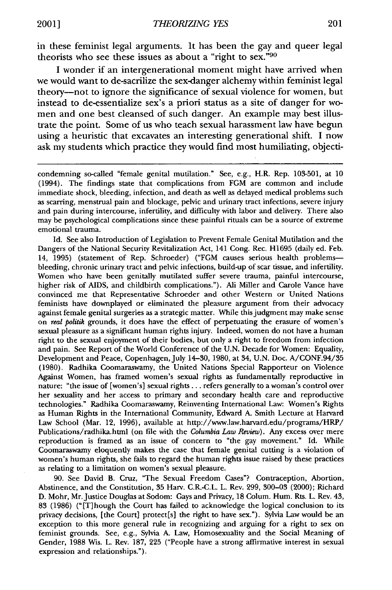in these feminist legal arguments. It has been the gay and queer legal theorists who see these issues as about a "right to sex."<sup>90</sup>

I wonder if an intergenerational moment might have arrived when we would want to de-sacrilize the sex-danger alchemy within feminist legal theory-not to ignore the significance of sexual violence for women, but instead to de-essentialize sex's a priori status as a site of danger for women and one best cleansed of such danger. An example may best illustrate the point. Some of us who teach sexual harassment law have begun using a heuristic that excavates an interesting generational shift. I now ask my students which practice they would find most humiliating, objecti-

condemning so-called "female genital mutilation." See, e.g., H.R. Rep. 103-501, at 10 (1994). The findings state that complications from FGM are common and include immediate shock, bleeding, infection, and death as well as delayed medical problems such as scarring, menstrual pain and blockage, pelvic and urinary tract infections, severe injury and pain during intercourse, infertility, and difficulty with labor and delivery. There also may be psychological complications since these painful rituals can be a source of extreme emotional trauma.

Id. See also Introduction of Legislation to Prevent Female Genital Mutilation and the Dangers of the National Security Revitalization Act, 141 Cong. Rec. H1695 (daily ed. Feb. 14, 1995) (statement of Rep. Schroeder) ("FGM causes serious health problemsbleeding, chronic urinary tract and pelvic infections, build-up of scar tissue, and infertility. Women who have been genitally mutilated suffer severe trauma, painful intercourse, higher risk of AIDS, and childbirth complications."). Ali Miller and Carole Vance have convinced me that Representative Schroeder and other Western or United Nations feminists have downplayed or eliminated the pleasure argument from their advocacy against female genital surgeries as a strategic matter. While this judgment may make sense on *real politik* grounds, it does have the effect of perpetuating the erasure of women's sexual pleasure as a significant human fights injury. Indeed, women do not have a human right to the sexual enjoyment of their bodies, but only a right to freedom from infection and pain. See Report of the World Conference of the U.N. Decade for Women: Equality, Development and Peace, Copenhagen, July 14-30, 1980, at 34, U.N. Doc. A/CONF.94/35 (1980). Radhika Coomaraswamy, the United Nations Special Rapporteur on Violence Against Women, has framed women's sexual rights as fundamentally reproductive in nature: "the issue of [women's] sexual rights... refers generally to a woman's control over her sexuality and her access to primary and secondary health care and reproductive technologies." Radhika Coomaraswamy, Reinventing International Law: Women's Rights as Human Rights in the International Community, Edward A. Smith Lecture at Harvard Law School (Mar. 12, 1996), available at http://www.law.harvard.edu/programs/HRP/ Publications/radhika.html (on file with the *Columbia Law Review).* Any excess over mere reproduction is framed as an issue of concern to "the gay movement." Id. While Coomaraswamy eloquently makes the case that female genital cutting is a violation of women's human rights, she fails to regard the human rights issue raised by these practices as relating to a limitation on women's sexual pleasure.

90. See David B. Cruz, "The Sexual Freedom Cases"? Contraception, Abortion, Abstinence, and the Constitution, 35 Harv. C.R.-C.L. L. Rev. 299, 300-03 (2000); Richard D. Mohr, Mr. Justice Douglas at Sodom: Gays and Privacy, 18 Colum. Hum. Rts. L. Rev. 43, 83 (1986) ("[T]hough the Court has failed to acknowledge the logical conclusion to its privacy decisions, [the Court] protect[s] the right to have sex."). Sylvia Law would be an exception to this more general rule in recognizing and arguing for a right to sex on feminist grounds. See, e.g., Sylvia A. Law, Homosexuality and the Social Meaning of Gender, 1988 Wis. L. Rev. 187, 225 ("People have a strong affirmative interest in sexual expression and relationships.").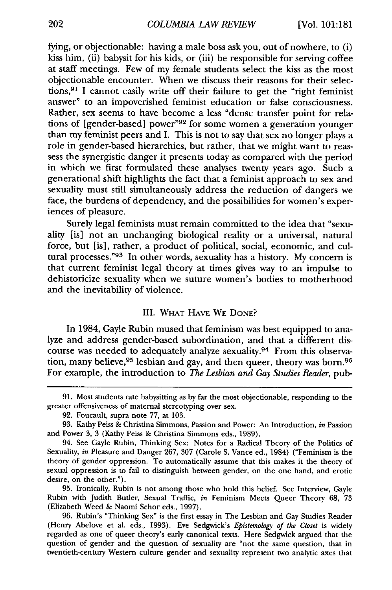fying, or objectionable: having a male boss ask you, out of nowhere, to (i) kiss him, (ii) babysit for his kids, or (iii) be responsible for serving coffee at staff meetings. Few of my female students select the kiss as the most objectionable encounter. When we discuss their reasons for their selections,<sup>91</sup> I cannot easily write off their failure to get the "right feminist answer" to an impoverished feminist education or false consciousness. Rather, sex seems to have become a less "dense transfer point for relations of [gender-based] power"<sup>92</sup> for some women a generation younger than my feminist peers and I. This is not to say that sex no longer plays a role in gender-based hierarchies, but rather, that we might want to reassess the synergistic danger it presents today as compared with the period in which we first formulated these analyses twenty years ago. Such a generational shift highlights the fact that a feminist approach to sex and sexuality must still simultaneously address the reduction of dangers we face, the burdens of dependency, and the possibilities for women's experiences of pleasure.

Surely legal feminists must remain committed to the idea that "sexuality [is] not an unchanging biological reality or a universal, natural force, but [is], rather, a product of political, social, economic, and cultural processes."93 In other words, sexuality has a history. My concern is that current feminist legal theory at times gives way to an impulse to dehistoricize sexuality when we suture women's bodies to motherhood and the inevitability of violence.

#### III. WHAT HAvE WE DONE?

In 1984, Gayle Rubin mused that feminism was best equipped to analyze and address gender-based subordination, and that a different discourse was needed to adequately analyze sexuality. 94 From this observation, many believe, 95 lesbian and gay, and then queer, theory was born. 96 For example, the introduction to *The Lesbian and Gay Studies Reader,* pub-

95. Ironically, Rubin is not among those who hold this belief. See Interview, Gayle Rubin with Judith Butler, Sexual Traffic, *in* Feminism Meets Queer Theory 68, **73** (Elizabeth Weed & Naomi Schor eds., **1997).**

**96.** Rubin's "Thinking Sex" is the first essay in The Lesbian and Gay Studies Reader (Henry Abelove et al. eds., **1993).** Eve Sedgwick's *Epistemology of the Closet* is widely regarded as one of queer theory's early canonical texts. Here Sedgwick argued that the question of gender and the question of sexuality are "not the same question, that in twentieth-century Western culture gender and sexuality represent two analytic axes that

<sup>91.</sup> Most students rate babysitting as by far the most objectionable, responding to the greater offensiveness of maternal stereotyping over sex.

<sup>92.</sup> Foucault, supra note 77, at 103.

<sup>93.</sup> Kathy Peiss & Christina Simmons, Passion and Power: An Introduction, *in* Passion and Power 3, 3 (Kathy Peiss & Christina Simmons eds., 1989).

<sup>94.</sup> See Gayle Rubin, Thinking Sex: Notes for a Radical Theory of the Politics of Sexuality, *in* Pleasure and Danger 267, 307 (Carole S. Vance ed., 1984) ("Feminism is the theory of gender oppression. To automatically assume that this makes it the theory of sexual oppression is to fail to distinguish between gender, on the one hand, and erotic desire, on the other.").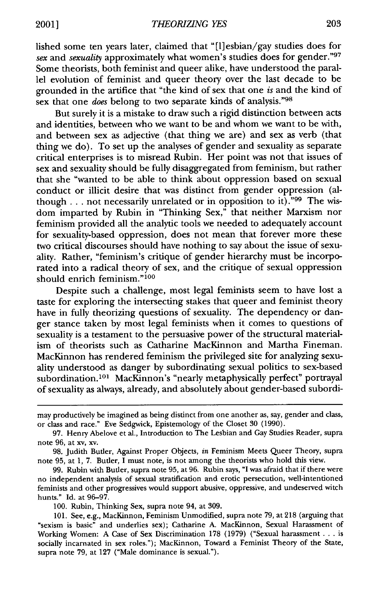lished some ten years later, claimed that "[l]esbian/gay studies does for sex and *sexuality* approximately what women's studies does for gender."97 Some theorists, both feminist and queer alike, have understood the parallel evolution of feminist and queer theory over the last decade to be grounded in the artifice that "the kind of sex that one *is* and the kind of sex that one *does* belong to two separate kinds of analysis."98

But surely it is a mistake to draw such a rigid distinction between acts and identities, between who we want to be and whom we want to be with, and between sex as adjective (that thing we are) and sex as verb (that thing we do). To set up the analyses of gender and sexuality as separate critical enterprises is to misread Rubin. Her point was not that issues of sex and sexuality should be fully disaggregated from feminism, but rather that she "wanted to be able to think about oppression based on sexual conduct or illicit desire that was distinct from gender oppression (although... not necessarily unrelated or in opposition to it)."99 The wisdom imparted by Rubin in "Thinking Sex," that neither Marxism nor feminism provided all the analytic tools we needed to adequately account for sexuality-based oppression, does not mean that forever more these two critical discourses should have nothing to say about the issue of sexuality. Rather, "feminism's critique of gender hierarchy must be incorporated into a radical theory of sex, and the critique of sexual oppression should enrich feminism." $100$ 

Despite such a challenge, most legal feminists seem to have lost a taste for exploring the intersecting stakes that queer and feminist theory have in fully theorizing questions of sexuality. The dependency or danger stance taken by most legal feminists when it comes to questions of sexuality is a testament to the persuasive power of the structural materialism of theorists such as Catharine MacKinnon and Martha Fineman. MacKinnon has rendered feminism the privileged site for analyzing sexuality understood as danger by subordinating sexual politics to sex-based subordination.<sup>101</sup> MacKinnon's "nearly metaphysically perfect" portrayal of sexuality as always, already, and absolutely about gender-based subordi-

100. Rubin, Thinking Sex, supra note 94, at 309.

may productively be imagined as being distinct from one another as, say, gender and class, or class and race." Eve Sedgwick, Epistemology of the Closet 30 (1990).

<sup>97.</sup> Henry Abelove et al., Introduction to The Lesbian and Gay Studies Reader, supra note 96, at xv, xv.

<sup>98.</sup> Judith Butler, Against Proper Objects, *in* Feminism Meets Queer Theory, supra note 95, at 1, 7. Butler, I must note, is not among the theorists who hold this view.

<sup>99.</sup> Rubin with Butler, supra note 95, at 96. Rubin says, "I was afraid that if there were no independent analysis of sexual stratification and erotic persecution, well-intentioned feminists and other progressives would support abusive, oppressive, and undeserved witch hunts." Id. at 96-97.

<sup>101.</sup> See, e.g., MacKinnon, Feminism Unmodified, supra note 79, at 218 (arguing that "sexism is basic" and underlies sex); Catharine A. MacKinnon, Sexual Harassment of Working Women: A Case of Sex Discrimination 178 (1979) ("Sexual harassment **...** is socially incarnated in sex roles."); MacKinnon, Toward a Feminist Theory of the State, supra note 79, at 127 ("Male dominance is sexual.").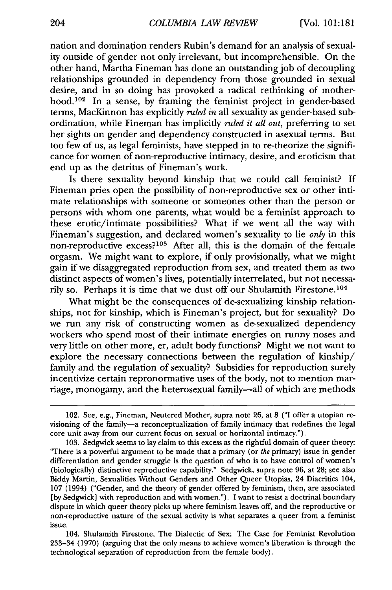nation and domination renders Rubin's demand for an analysis of sexuality outside of gender not only irrelevant, but incomprehensible. On the other hand, Martha Fineman has done an outstanding job of decoupling relationships grounded in dependency from those grounded in sexual desire, and in so doing has provoked a radical rethinking of motherhood.<sup>102</sup> In a sense, by framing the feminist project in gender-based terms, MacKinnon has explicitly *ruled in* all sexuality as gender-based subordination, while Fineman has implicitly *ruled it all out,* preferring to set her sights on gender and dependency constructed in asexual terms. But too few of us, as legal feminists, have stepped in to re-theorize the significance for women of non-reproductive intimacy, desire, and eroticism that end up as the detritus of Fineman's work.

Is there sexuality beyond kinship that we could call feminist? If Fineman pries open the possibility of non-reproductive sex or other intimate relationships with someone or someones other than the person or persons with whom one parents, what would be a feminist approach to these erotic/intimate possibilities? What if we went all the way with Fineman's suggestion, and declared women's sexuality to lie *only* in this non-reproductive excess?<sup>103</sup> After all, this is the domain of the female orgasm. We might want to explore, if only provisionally, what we might gain if we disaggregated reproduction from sex, and treated them as two distinct aspects of women's lives, potentially interrelated, but not necessarily so. Perhaps it is time that we dust off our Shulamith Firestone.<sup>104</sup>

What might be the consequences of de-sexualizing kinship relationships, not for kinship, which is Fineman's project, but for sexuality? Do we run any risk of constructing women as de-sexualized dependency workers who spend most of their intimate energies on runny noses and very little on other more, er, adult body functions? Might we not want to explore the necessary connections between the regulation of kinship/ family and the regulation of sexuality? Subsidies for reproduction surely incentivize certain repronormative uses of the body, not to mention marriage, monogamy, and the heterosexual family-all of which are methods

<sup>102.</sup> See, e.g., Fineman, Neutered Mother, supra note 26, at 8 ("I offer a utopian revisioning of the family-a reconceptualization of family intimacy that redefines the legal core unit away from our current focus on sexual or horizontal intimacy.").

<sup>103.</sup> Sedgwick seems to lay claim to this excess as the rightful domain of queer theory: "There is a powerful argument to be made that a primary (or *the* primary) issue in gender differentiation and gender struggle is the question of who is to have control of women's (biologically) distinctive reproductive capability." Sedgwick, supra note 96, at 28; see also Biddy Martin, Sexualities Without Genders and Other Queer Utopias, 24 Diacritics 104, 107 (1994) ("Gender, and the theory of gender offered by feminism, then, are associated [by Sedgwick] with reproduction and with women."). I want to resist a doctrinal boundary dispute in which queer theory picks up where feminism leaves off, and the reproductive or non-reproductive nature of the sexual activity is what separates a queer from a feminist issue.

<sup>104.</sup> Shulamith Firestone, The Dialectic of Sex: The Case for Feminist Revolution 233-34 (1970) (arguing that the only means to achieve women's liberation is through the technological separation of reproduction from the female body).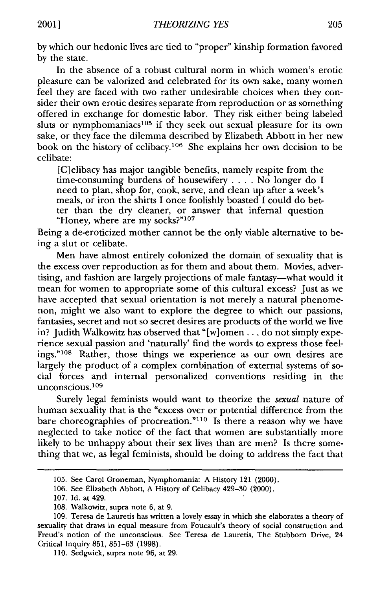by which our hedonic lives are tied to "proper" kinship formation favored by the state.

In the absence of a robust cultural norm in which women's erotic pleasure can be valorized and celebrated for its own sake, many women feel they are faced with two rather undesirable choices when they consider their own erotic desires separate from reproduction or as something offered in exchange for domestic labor. They risk either being labeled sluts or nymphomaniacs<sup>105</sup> if they seek out sexual pleasure for its own sake, or they face the dilemma described by Elizabeth Abbott in her new book on the history of celibacy.<sup>106</sup> She explains her own decision to be celibate:

[C]elibacy has major tangible benefits, namely respite from the time-consuming burdens of housewifery. . **.** .No longer do I need to plan, shop for, cook, serve, and clean up after a week's meals, or iron the shirts I once foolishly boasted I could do better than the dry cleaner, or answer that infernal question "Honey, where are my socks?"107

Being a de-eroticized mother cannot be the only viable alternative to being a slut or celibate.

Men have almost entirely colonized the domain of sexuality that is the excess over reproduction as for them and about them. Movies, advertising, and fashion are largely projections of male fantasy-what would it mean for women to appropriate some of this cultural excess? Just as we have accepted that sexual orientation is not merely a natural phenomenon, might we also want to explore the degree to which our passions, fantasies, secret and not so secret desires are products of the world we live in? Judith Walkowitz has observed that "[w] omen . . . do not simply experience sexual passion and 'naturally' find the words to express those feelings."108 Rather, those things we experience as our own desires are largely the product of a complex combination of external systems of social forces and internal personalized conventions residing in the unconscious.1<sup>09</sup>

Surely legal feminists would want to theorize the *sexual* nature of human sexuality that is the "excess over or potential difference from the bare choreographies of procreation."<sup>110</sup> Is there a reason why we have neglected to take notice of the fact that women are substantially more likely to be unhappy about their sex lives than are men? Is there something that we, as legal feminists, should be doing to address the fact that

110. Sedgwick, supra note 96, at **29.**

<sup>105.</sup> See Carol Groneman, Nymphomania: A History 121 (2000).

<sup>106.</sup> See Elizabeth Abbott, A History of Celibacy 429-30 (2000).

<sup>107.</sup> **Id.** at 429.

<sup>108.</sup> Walkowitz, supra note **6,** at 9.

<sup>109.</sup> Teresa de Lauretis has written a lovely essay in which she elaborates a theory of sexuality that draws in equal measure from Foucault's theory of social construction and Freud's notion of the unconscious. See Teresa de Lauretis, The Stubborn Drive, 24 Critical Inquiry 851, 851-63 (1998).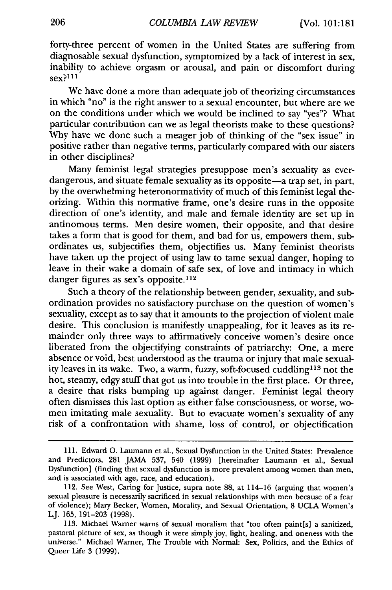forty-three percent of women in the United States are suffering from diagnosable sexual dysfunction, symptomized by a lack of interest in sex, inability to achieve orgasm or arousal, and pain or discomfort during sex?<sup>111</sup>

We have done a more than adequate job of theorizing circumstances in which "no" is the right answer to a sexual encounter, but where are we on the conditions under which we would be inclined to say "yes"? What particular contribution can we as legal theorists make to these questions? Why have we done such a meager job of thinking of the "sex issue" in positive rather than negative terms, particularly compared with our sisters in other disciplines?

Many feminist legal strategies presuppose men's sexuality as everdangerous, and situate female sexuality as its opposite-a trap set, in part, by the overwhelming heteronormativity of much of this feminist legal theorizing. Within this normative frame, one's desire runs in the opposite direction of one's identity, and male and female identity are set up in antinomous terms. Men desire women, their opposite, and that desire takes a form that is good for them, and bad for us, empowers them, subordinates us, subjectifies them, objectifies us. Many feminist theorists have taken up the project of using law to tame sexual danger, hoping to leave in their wake a domain of safe sex, of love and intimacy in which danger figures as sex's opposite.<sup>112</sup>

Such a theory of the relationship between gender, sexuality, and subordination provides no satisfactory purchase on the question of women's sexuality, except as to say that it amounts to the projection of violent male desire. This conclusion is manifestly unappealing, for it leaves as its remainder only three ways to affirmatively conceive women's desire once liberated from the objectifying constraints of patriarchy: One, a mere absence or void, best understood as the trauma or injury that male sexuality leaves in its wake. Two, a warm, fuzzy, soft-focused cuddling<sup>113</sup> not the hot, steamy, edgy stuff that got us into trouble in the first place. Or three, a desire that risks bumping up against danger. Feminist legal theory often dismisses this last option as either false consciousness, or worse, women imitating male sexuality. But to evacuate women's sexuality of any risk of a confrontation with shame, loss of control, or objectification

<sup>111.</sup> Edward **0.** Laumann et al., Sexual Dysfunction in the United States: Prevalence and Predictors, 281 JAMA 537, 540 (1999) [hereinafter Laumann et al., Sexual Dysfunction] (finding that sexual dysfunction is more prevalent among women than men, and is associated with age, race, and education).

<sup>112.</sup> See West, Caring for Justice, supra note 88, at 114-16 (arguing that women's sexual pleasure is necessarily sacrificed in sexual relationships with men because of a fear of violence); Mary Becker, Women, Morality, and Sexual Orientation, 8 UCLA Women's LJ. 165, 191-203 (1998).

<sup>113.</sup> Michael Warner warns of sexual moralism that "too often paint[s] a sanitized, pastoral picture of sex, as though it were simply joy, light, healing, and oneness with the universe." Michael Warner, The Trouble with Normal: Sex, Politics, and the Ethics of Queer Life 3 (1999).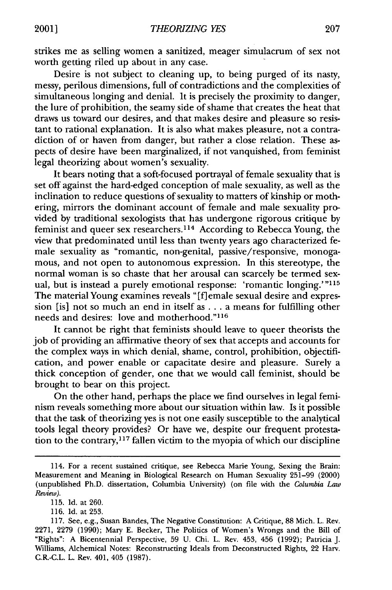2001]

strikes me as selling women a sanitized, meager simulacrum of sex not worth getting riled up about in any case.

Desire is not subject to cleaning up, to being purged of its nasty, messy, perilous dimensions, full of contradictions and the complexities of simultaneous longing and denial. It is precisely the proximity to danger, the lure of prohibition, the seamy side of shame that creates the heat that draws us toward our desires, and that makes desire and pleasure so resistant to rational explanation. It is also what makes pleasure, not a contradiction of or haven from danger, but rather a close relation. These aspects of desire have been marginalized, if not vanquished, from feminist legal theorizing about women's sexuality.

It bears noting that a soft-focused portrayal of female sexuality that is set off against the hard-edged conception of male sexuality, as well as the inclination to reduce questions of sexuality to matters of kinship or mothering, mirrors the dominant account of female and male sexuality provided by traditional sexologists that has undergone rigorous critique by feminist and queer sex researchers.<sup>114</sup> According to Rebecca Young, the view that predominated until less than twenty years ago characterized female sexuality as "romantic, non-genital, passive/responsive, monogamous, and not open to autonomous expression. In this stereotype, the normal woman is so chaste that her arousal can scarcely be termed sexual, but is instead a purely emotional response: 'romantic longing.'"<sup>115</sup> The material Young examines reveals "[f] emale sexual desire and expression [is] not so much an end in itself as . . . a means for fulfilling other needs and desires: love and motherhood."116

It cannot be right that feminists should leave to queer theorists the job of providing an affirmative theory of sex that accepts and accounts for the complex ways in which denial, shame, control, prohibition, objectification, and power enable or capacitate desire and pleasure. Surely a thick conception of gender, one that we would call feminist, should be brought to bear on this project.

On the other hand, perhaps the place we find ourselves in legal feminism reveals something more about our situation within law. Is it possible that the task of theorizing yes is not one easily susceptible to the analytical tools legal theory provides? Or have we, despite our frequent protestation to the contrary,  $117$  fallen victim to the myopia of which our discipline

- 115. Id. at 260.
- 116. Id. at 253.

<sup>114.</sup> For a recent sustained critique, see Rebecca Marie Young, Sexing the Brain: Measurement and Meaning in Biological Research on Human Sexuality 251-99 (2000) (unpublished Ph.D. dissertation, Columbia University) (on file with the *Columbia Law Review).*

<sup>117.</sup> See, e.g., Susan Bandes, The Negative Constitution: A Critique, 88 Mich. L. Rev. 2271, 2279 (1990); Mary E. Becker, The Politics of Women's Wrongs and the Bill of "Rights": A Bicentennial Perspective, 59 U. Chi. L. Rev. 453, 456 (1992); Patricia J. Williams, Alchemical Notes: Reconstructing Ideals from Deconstructed Rights, 22 Harv. C.R.-C.L. L. Rev. 401, 405 (1987).